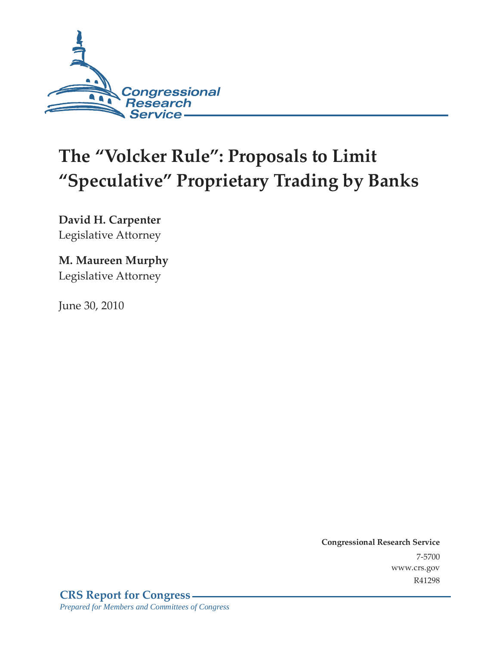

# **The "Volcker Rule": Proposals to Limit "Speculative" Proprietary Trading by Banks**

**David H. Carpenter** 

Legislative Attorney

### **M. Maureen Murphy**

Legislative Attorney

June 30, 2010

**Congressional Research Service** 7-5700 www.crs.gov R41298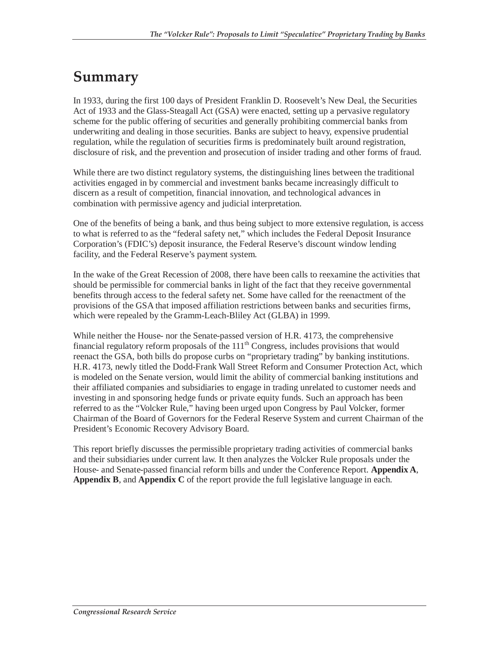## **Summary**

In 1933, during the first 100 days of President Franklin D. Roosevelt's New Deal, the Securities Act of 1933 and the Glass-Steagall Act (GSA) were enacted, setting up a pervasive regulatory scheme for the public offering of securities and generally prohibiting commercial banks from underwriting and dealing in those securities. Banks are subject to heavy, expensive prudential regulation, while the regulation of securities firms is predominately built around registration, disclosure of risk, and the prevention and prosecution of insider trading and other forms of fraud.

While there are two distinct regulatory systems, the distinguishing lines between the traditional activities engaged in by commercial and investment banks became increasingly difficult to discern as a result of competition, financial innovation, and technological advances in combination with permissive agency and judicial interpretation.

One of the benefits of being a bank, and thus being subject to more extensive regulation, is access to what is referred to as the "federal safety net," which includes the Federal Deposit Insurance Corporation's (FDIC's) deposit insurance, the Federal Reserve's discount window lending facility, and the Federal Reserve's payment system.

In the wake of the Great Recession of 2008, there have been calls to reexamine the activities that should be permissible for commercial banks in light of the fact that they receive governmental benefits through access to the federal safety net. Some have called for the reenactment of the provisions of the GSA that imposed affiliation restrictions between banks and securities firms, which were repealed by the Gramm-Leach-Bliley Act (GLBA) in 1999.

While neither the House- nor the Senate-passed version of H.R. 4173, the comprehensive financial regulatory reform proposals of the  $111<sup>th</sup>$  Congress, includes provisions that would reenact the GSA, both bills do propose curbs on "proprietary trading" by banking institutions. H.R. 4173, newly titled the Dodd-Frank Wall Street Reform and Consumer Protection Act, which is modeled on the Senate version, would limit the ability of commercial banking institutions and their affiliated companies and subsidiaries to engage in trading unrelated to customer needs and investing in and sponsoring hedge funds or private equity funds. Such an approach has been referred to as the "Volcker Rule," having been urged upon Congress by Paul Volcker, former Chairman of the Board of Governors for the Federal Reserve System and current Chairman of the President's Economic Recovery Advisory Board.

This report briefly discusses the permissible proprietary trading activities of commercial banks and their subsidiaries under current law. It then analyzes the Volcker Rule proposals under the House- and Senate-passed financial reform bills and under the Conference Report. **Appendix A**, **Appendix B**, and **Appendix C** of the report provide the full legislative language in each.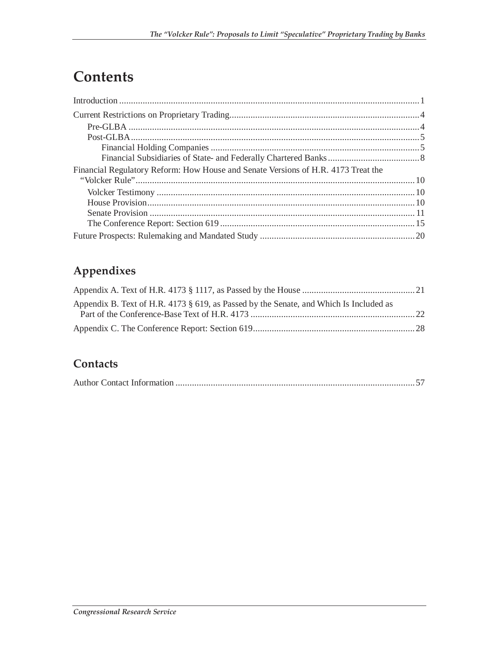## **Contents**

| Financial Regulatory Reform: How House and Senate Versions of H.R. 4173 Treat the |  |
|-----------------------------------------------------------------------------------|--|
|                                                                                   |  |
|                                                                                   |  |
|                                                                                   |  |
|                                                                                   |  |
|                                                                                   |  |
|                                                                                   |  |

### **Appendixes**

| Appendix B. Text of H.R. 4173 § 619, as Passed by the Senate, and Which Is Included as |  |
|----------------------------------------------------------------------------------------|--|
|                                                                                        |  |
|                                                                                        |  |

### **Contacts**

|--|--|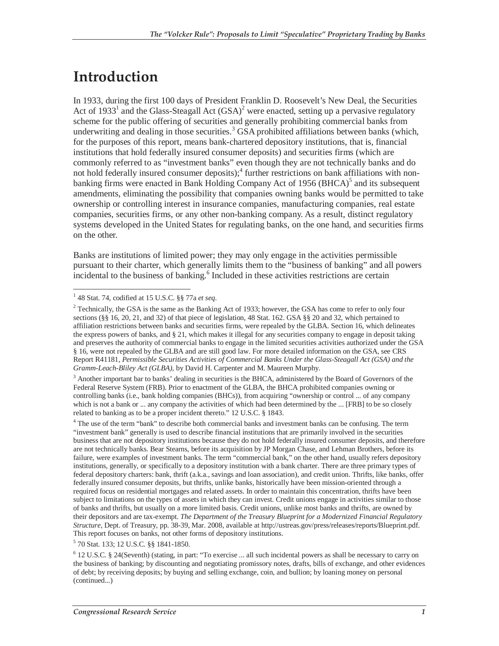### **Introduction**

In 1933, during the first 100 days of President Franklin D. Roosevelt's New Deal, the Securities Act of 1933<sup>1</sup> and the Glass-Steagall Act  $(GSA)^2$  were enacted, setting up a pervasive regulatory scheme for the public offering of securities and generally prohibiting commercial banks from underwriting and dealing in those securities.<sup>3</sup> GSA prohibited affiliations between banks (which, for the purposes of this report, means bank-chartered depository institutions, that is, financial institutions that hold federally insured consumer deposits) and securities firms (which are commonly referred to as "investment banks" even though they are not technically banks and do not hold federally insured consumer deposits);<sup>4</sup> further restrictions on bank affiliations with nonbanking firms were enacted in Bank Holding Company Act of 1956 (BHCA)<sup>5</sup> and its subsequent amendments, eliminating the possibility that companies owning banks would be permitted to take ownership or controlling interest in insurance companies, manufacturing companies, real estate companies, securities firms, or any other non-banking company. As a result, distinct regulatory systems developed in the United States for regulating banks, on the one hand, and securities firms on the other.

Banks are institutions of limited power; they may only engage in the activities permissible pursuant to their charter, which generally limits them to the "business of banking" and all powers incidental to the business of banking.<sup>6</sup> Included in these activities restrictions are certain

<sup>3</sup> Another important bar to banks' dealing in securities is the BHCA, administered by the Board of Governors of the Federal Reserve System (FRB). Prior to enactment of the GLBA, the BHCA prohibited companies owning or controlling banks (i.e., bank holding companies (BHCs)), from acquiring "ownership or control ... of any company which is not a bank or ... any company the activities of which had been determined by the ... [FRB] to be so closely related to banking as to be a proper incident thereto." 12 U.S.C. § 1843.

5 70 Stat. 133; 12 U.S.C. §§ 1841-1850.

 1 48 Stat. 74, codified at 15 U.S.C. §§ 77a *et seq*.

 $2^2$  Technically, the GSA is the same as the Banking Act of 1933; however, the GSA has come to refer to only four sections (§§ 16, 20, 21, and 32) of that piece of legislation, 48 Stat. 162. GSA §§ 20 and 32, which pertained to affiliation restrictions between banks and securities firms, were repealed by the GLBA. Section 16, which delineates the express powers of banks, and § 21, which makes it illegal for any securities company to engage in deposit taking and preserves the authority of commercial banks to engage in the limited securities activities authorized under the GSA § 16, were not repealed by the GLBA and are still good law. For more detailed information on the GSA, see CRS Report R41181, *Permissible Securities Activities of Commercial Banks Under the Glass-Steagall Act (GSA) and the Gramm-Leach-Bliley Act (GLBA)*, by David H. Carpenter and M. Maureen Murphy.

<sup>&</sup>lt;sup>4</sup> The use of the term "bank" to describe both commercial banks and investment banks can be confusing. The term "investment bank" generally is used to describe financial institutions that are primarily involved in the securities business that are not depository institutions because they do not hold federally insured consumer deposits, and therefore are not technically banks. Bear Stearns, before its acquisition by JP Morgan Chase, and Lehman Brothers, before its failure, were examples of investment banks. The term "commercial bank," on the other hand, usually refers depository institutions, generally, or specifically to a depository institution with a bank charter. There are three primary types of federal depository charters: bank, thrift (a.k.a., savings and loan association), and credit union. Thrifts, like banks, offer federally insured consumer deposits, but thrifts, unlike banks, historically have been mission-oriented through a required focus on residential mortgages and related assets. In order to maintain this concentration, thrifts have been subject to limitations on the types of assets in which they can invest. Credit unions engage in activities similar to those of banks and thrifts, but usually on a more limited basis. Credit unions, unlike most banks and thrifts, are owned by their depositors and are tax-exempt. *The Department of the Treasury Blueprint for a Modernized Financial Regulatory Structure*, Dept. of Treasury, pp. 38-39, Mar. 2008, available at http://ustreas.gov/press/releases/reports/Blueprint.pdf. This report focuses on banks, not other forms of depository institutions.

<sup>6</sup> 12 U.S.C. § 24(Seventh) (stating, in part: "To exercise ... all such incidental powers as shall be necessary to carry on the business of banking; by discounting and negotiating promissory notes, drafts, bills of exchange, and other evidences of debt; by receiving deposits; by buying and selling exchange, coin, and bullion; by loaning money on personal (continued...)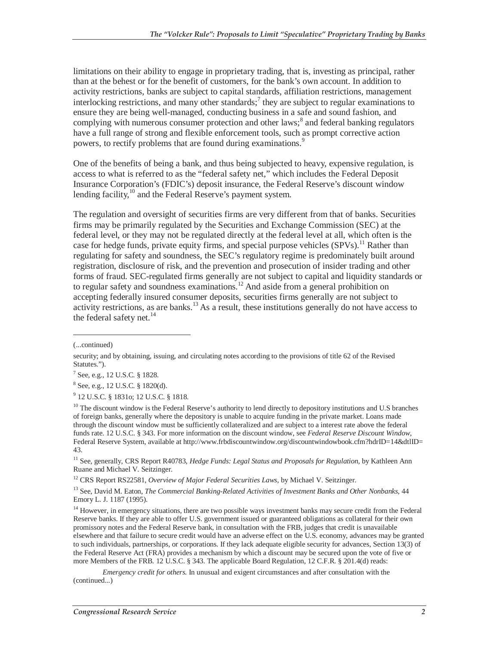limitations on their ability to engage in proprietary trading, that is, investing as principal, rather than at the behest or for the benefit of customers, for the bank's own account. In addition to activity restrictions, banks are subject to capital standards, affiliation restrictions, management interlocking restrictions, and many other standards;<sup>7</sup> they are subject to regular examinations to ensure they are being well-managed, conducting business in a safe and sound fashion, and complying with numerous consumer protection and other laws;<sup>8</sup> and federal banking regulators have a full range of strong and flexible enforcement tools, such as prompt corrective action powers, to rectify problems that are found during examinations.<sup>9</sup>

One of the benefits of being a bank, and thus being subjected to heavy, expensive regulation, is access to what is referred to as the "federal safety net," which includes the Federal Deposit Insurance Corporation's (FDIC's) deposit insurance, the Federal Reserve's discount window lending facility, $10$  and the Federal Reserve's payment system.

The regulation and oversight of securities firms are very different from that of banks. Securities firms may be primarily regulated by the Securities and Exchange Commission (SEC) at the federal level, or they may not be regulated directly at the federal level at all, which often is the case for hedge funds, private equity firms, and special purpose vehicles  $(SPVs)$ .<sup>11</sup> Rather than regulating for safety and soundness, the SEC's regulatory regime is predominately built around registration, disclosure of risk, and the prevention and prosecution of insider trading and other forms of fraud. SEC-regulated firms generally are not subject to capital and liquidity standards or to regular safety and soundness examinations.<sup>12</sup> And aside from a general prohibition on accepting federally insured consumer deposits, securities firms generally are not subject to activity restrictions, as are banks.<sup>13</sup> As a result, these institutions generally do not have access to the federal safety net. $^{14}$ 

-

<sup>12</sup> CRS Report RS22581, *Overview of Major Federal Securities Laws*, by Michael V. Seitzinger.

13 See, David M. Eaton, *The Commercial Banking-Related Activities of Investment Banks and Other Nonbanks*, 44 Emory L. J. 1187 (1995).

<sup>14</sup> However, in emergency situations, there are two possible ways investment banks may secure credit from the Federal Reserve banks. If they are able to offer U.S. government issued or guaranteed obligations as collateral for their own promissory notes and the Federal Reserve bank, in consultation with the FRB, judges that credit is unavailable elsewhere and that failure to secure credit would have an adverse effect on the U.S. economy, advances may be granted to such individuals, partnerships, or corporations. If they lack adequate eligible security for advances, Section 13(3) of the Federal Reserve Act (FRA) provides a mechanism by which a discount may be secured upon the vote of five or more Members of the FRB. 12 U.S.C. § 343. The applicable Board Regulation, 12 C.F.R. § 201.4(d) reads:

*Emergency credit for others.* In unusual and exigent circumstances and after consultation with the (continued...)

<sup>(...</sup>continued)

security; and by obtaining, issuing, and circulating notes according to the provisions of title 62 of the Revised Statutes.").

<sup>7</sup> See, e.g., 12 U.S.C. § 1828.

<sup>8</sup> See, e.g., 12 U.S.C. § 1820(d).

<sup>9</sup> 12 U.S.C. § 1831o; 12 U.S.C. § 1818.

<sup>&</sup>lt;sup>10</sup> The discount window is the Federal Reserve's authority to lend directly to depository institutions and U.S branches of foreign banks, generally where the depository is unable to acquire funding in the private market. Loans made through the discount window must be sufficiently collateralized and are subject to a interest rate above the federal funds rate. 12 U.S.C. § 343. For more information on the discount window, see *Federal Reserve Discount Window*, Federal Reserve System, available at http://www.frbdiscountwindow.org/discountwindowbook.cfm?hdrID=14&dtlID= 43.

<sup>&</sup>lt;sup>11</sup> See, generally, CRS Report R40783, *Hedge Funds: Legal Status and Proposals for Regulation*, by Kathleen Ann Ruane and Michael V. Seitzinger.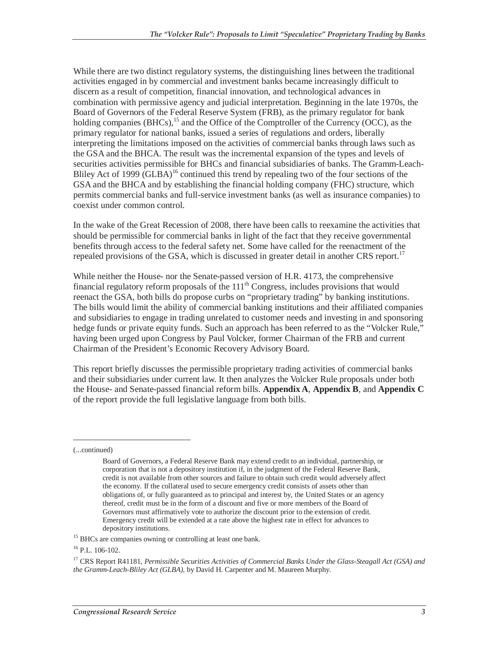While there are two distinct regulatory systems, the distinguishing lines between the traditional activities engaged in by commercial and investment banks became increasingly difficult to discern as a result of competition, financial innovation, and technological advances in combination with permissive agency and judicial interpretation. Beginning in the late 1970s, the Board of Governors of the Federal Reserve System (FRB), as the primary regulator for bank holding companies  $(BHCs)$ , <sup>15</sup> and the Office of the Comptroller of the Currency (OCC), as the primary regulator for national banks, issued a series of regulations and orders, liberally interpreting the limitations imposed on the activities of commercial banks through laws such as the GSA and the BHCA. The result was the incremental expansion of the types and levels of securities activities permissible for BHCs and financial subsidiaries of banks. The Gramm-Leach-Bliley Act of 1999 (GLBA)<sup>16</sup> continued this trend by repealing two of the four sections of the GSA and the BHCA and by establishing the financial holding company (FHC) structure, which permits commercial banks and full-service investment banks (as well as insurance companies) to coexist under common control.

In the wake of the Great Recession of 2008, there have been calls to reexamine the activities that should be permissible for commercial banks in light of the fact that they receive governmental benefits through access to the federal safety net. Some have called for the reenactment of the repealed provisions of the GSA, which is discussed in greater detail in another CRS report.<sup>17</sup>

While neither the House- nor the Senate-passed version of H.R. 4173, the comprehensive financial regulatory reform proposals of the  $111<sup>th</sup>$  Congress, includes provisions that would reenact the GSA, both bills do propose curbs on "proprietary trading" by banking institutions. The bills would limit the ability of commercial banking institutions and their affiliated companies and subsidiaries to engage in trading unrelated to customer needs and investing in and sponsoring hedge funds or private equity funds. Such an approach has been referred to as the "Volcker Rule," having been urged upon Congress by Paul Volcker, former Chairman of the FRB and current Chairman of the President's Economic Recovery Advisory Board.

This report briefly discusses the permissible proprietary trading activities of commercial banks and their subsidiaries under current law. It then analyzes the Volcker Rule proposals under both the House- and Senate-passed financial reform bills. **Appendix A**, **Appendix B**, and **Appendix C** of the report provide the full legislative language from both bills.

(...continued)

-

Board of Governors, a Federal Reserve Bank may extend credit to an individual, partnership, or corporation that is not a depository institution if, in the judgment of the Federal Reserve Bank, credit is not available from other sources and failure to obtain such credit would adversely affect the economy. If the collateral used to secure emergency credit consists of assets other than obligations of, or fully guaranteed as to principal and interest by, the United States or an agency thereof, credit must be in the form of a discount and five or more members of the Board of Governors must affirmatively vote to authorize the discount prior to the extension of credit. Emergency credit will be extended at a rate above the highest rate in effect for advances to

 $15$  BHCs are companies owning or controlling at least one bank.

 $16$  P.L.  $106-102$ .

<sup>17</sup> CRS Report R41181, *Permissible Securities Activities of Commercial Banks Under the Glass-Steagall Act (GSA) and the Gramm-Leach-Bliley Act (GLBA)*, by David H. Carpenter and M. Maureen Murphy.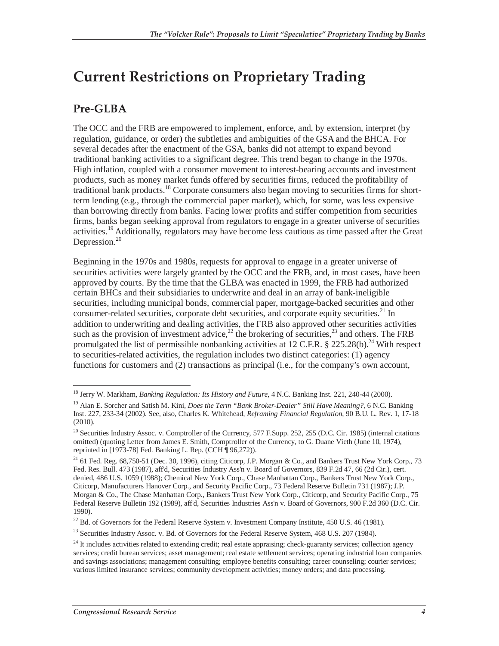### **Current Restrictions on Proprietary Trading**

### **Pre-GLBA**

The OCC and the FRB are empowered to implement, enforce, and, by extension, interpret (by regulation, guidance, or order) the subtleties and ambiguities of the GSA and the BHCA. For several decades after the enactment of the GSA, banks did not attempt to expand beyond traditional banking activities to a significant degree. This trend began to change in the 1970s. High inflation, coupled with a consumer movement to interest-bearing accounts and investment products, such as money market funds offered by securities firms, reduced the profitability of traditional bank products.<sup>18</sup> Corporate consumers also began moving to securities firms for shortterm lending (e.g., through the commercial paper market), which, for some, was less expensive than borrowing directly from banks. Facing lower profits and stiffer competition from securities firms, banks began seeking approval from regulators to engage in a greater universe of securities activities.<sup>19</sup> Additionally, regulators may have become less cautious as time passed after the Great Depression.<sup>20</sup>

Beginning in the 1970s and 1980s, requests for approval to engage in a greater universe of securities activities were largely granted by the OCC and the FRB, and, in most cases, have been approved by courts. By the time that the GLBA was enacted in 1999, the FRB had authorized certain BHCs and their subsidiaries to underwrite and deal in an array of bank-ineligible securities, including municipal bonds, commercial paper, mortgage-backed securities and other consumer-related securities, corporate debt securities, and corporate equity securities.<sup>21</sup> In addition to underwriting and dealing activities, the FRB also approved other securities activities such as the provision of investment advice,  $^{22}$  the brokering of securities,  $^{23}$  and others. The FRB promulgated the list of permissible nonbanking activities at 12 C.F.R.  $\S 225.28(b)$ .<sup>24</sup> With respect to securities-related activities, the regulation includes two distinct categories: (1) agency functions for customers and (2) transactions as principal (i.e., for the company's own account,

<sup>-</sup><sup>18</sup> Jerry W. Markham, *Banking Regulation: Its History and Future*, 4 N.C. Banking Inst. 221, 240-44 (2000).

<sup>19</sup> Alan E. Sorcher and Satish M. Kini, *Does the Term "Bank Broker-Dealer" Still Have Meaning?*, 6 N.C. Banking Inst. 227, 233-34 (2002). See, also, Charles K. Whitehead, *Reframing Financial Regulation*, 90 B.U. L. Rev. 1, 17-18 (2010).

 $^{20}$  Securities Industry Assoc. v. Comptroller of the Currency, 577 F.Supp. 252, 255 (D.C. Cir. 1985) (internal citations omitted) (quoting Letter from James E. Smith, Comptroller of the Currency, to G. Duane Vieth (June 10, 1974), reprinted in [1973-78] Fed. Banking L. Rep. (CCH ¶ 96,272)).

<sup>&</sup>lt;sup>21</sup> 61 Fed. Reg. 68,750-51 (Dec. 30, 1996), citing Citicorp, J.P. Morgan & Co., and Bankers Trust New York Corp., 73 Fed. Res. Bull. 473 (1987), aff'd, Securities Industry Ass'n v. Board of Governors, 839 F.2d 47, 66 (2d Cir.), cert. denied, 486 U.S. 1059 (1988); Chemical New York Corp., Chase Manhattan Corp., Bankers Trust New York Corp., Citicorp, Manufacturers Hanover Corp., and Security Pacific Corp., 73 Federal Reserve Bulletin 731 (1987); J.P. Morgan & Co., The Chase Manhattan Corp., Bankers Trust New York Corp., Citicorp, and Security Pacific Corp., 75 Federal Reserve Bulletin 192 (1989), aff'd, Securities Industries Ass'n v. Board of Governors, 900 F.2d 360 (D.C. Cir. 1990).

<sup>&</sup>lt;sup>22</sup> Bd. of Governors for the Federal Reserve System v. Investment Company Institute, 450 U.S. 46 (1981).

<sup>&</sup>lt;sup>23</sup> Securities Industry Assoc. v. Bd. of Governors for the Federal Reserve System, 468 U.S. 207 (1984).

 $^{24}$  It includes activities related to extending credit; real estate appraising; check-guaranty services; collection agency services; credit bureau services; asset management; real estate settlement services; operating industrial loan companies and savings associations; management consulting; employee benefits consulting; career counseling; courier services; various limited insurance services; community development activities; money orders; and data processing.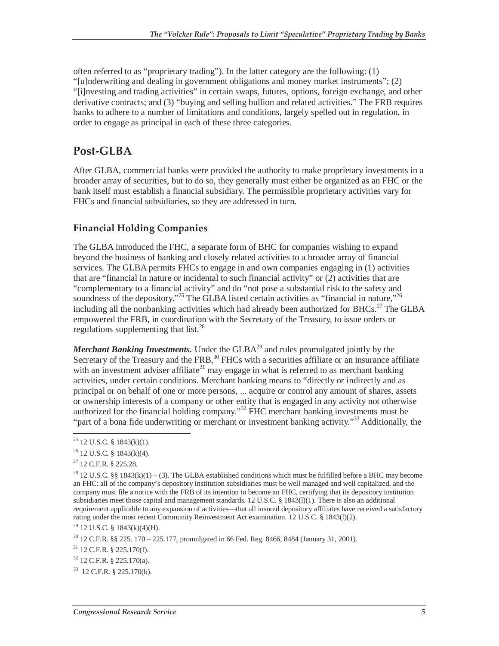often referred to as "proprietary trading"). In the latter category are the following: (1) "[u]nderwriting and dealing in government obligations and money market instruments"; (2) "[i]nvesting and trading activities" in certain swaps, futures, options, foreign exchange, and other derivative contracts; and (3) "buying and selling bullion and related activities." The FRB requires banks to adhere to a number of limitations and conditions, largely spelled out in regulation, in order to engage as principal in each of these three categories.

### **Post-GLBA**

After GLBA, commercial banks were provided the authority to make proprietary investments in a broader array of securities, but to do so, they generally must either be organized as an FHC or the bank itself must establish a financial subsidiary. The permissible proprietary activities vary for FHCs and financial subsidiaries, so they are addressed in turn.

#### **Financial Holding Companies**

The GLBA introduced the FHC, a separate form of BHC for companies wishing to expand beyond the business of banking and closely related activities to a broader array of financial services. The GLBA permits FHCs to engage in and own companies engaging in (1) activities that are "financial in nature or incidental to such financial activity" or (2) activities that are "complementary to a financial activity" and do "not pose a substantial risk to the safety and soundness of the depository."<sup>25</sup> The GLBA listed certain activities as "financial in nature,"<sup>26</sup> including all the nonbanking activities which had already been authorized for BHCs.<sup>27</sup> The GLBA empowered the FRB, in coordination with the Secretary of the Treasury, to issue orders or regulations supplementing that  $list.^{28}$ 

*Merchant Banking Investments.* Under the GLBA<sup>29</sup> and rules promulgated jointly by the Secretary of the Treasury and the FRB,<sup>30</sup> FHCs with a securities affiliate or an insurance affiliate with an investment adviser affiliate<sup>31</sup> may engage in what is referred to as merchant banking activities, under certain conditions. Merchant banking means to "directly or indirectly and as principal or on behalf of one or more persons, ... acquire or control any amount of shares, assets or ownership interests of a company or other entity that is engaged in any activity not otherwise authorized for the financial holding company." $32$  FHC merchant banking investments must be "part of a bona fide underwriting or merchant or investment banking activity."<sup>33</sup> Additionally, the

 $\overline{a}$  $25$  12 U.S.C. § 1843(k)(1).

 $26$  12 U.S.C. § 1843(k)(4).

<sup>27 12</sup> C.F.R. § 225.28.

<sup>&</sup>lt;sup>28</sup> 12 U.S.C. §§ 1843(k)(1) – (3). The GLBA established conditions which must be fulfilled before a BHC may become an FHC: all of the company's depository institution subsidiaries must be well managed and well capitalized, and the company must file a notice with the FRB of its intention to become an FHC, certifying that its depository institution subsidiaries meet those capital and management standards. 12 U.S.C. § 1843(l)(1). There is also an additional requirement applicable to any expansion of activities—that all insured depository affiliates have received a satisfactory rating under the most recent Community Reinvestment Act examination. 12 U.S.C. § 1843(l)(2).

<sup>29 12</sup> U.S.C. § 1843(k)(4)(H).

 $30$  12 C.F.R. §§ 225. 170 – 225.177, promulgated in 66 Fed. Reg. 8466, 8484 (January 31, 2001).

 $31$  12 C.F.R. § 225.170(f).

 $32$  12 C.F.R. § 225.170(a).

<sup>33 12</sup> C.F.R. § 225.170(b).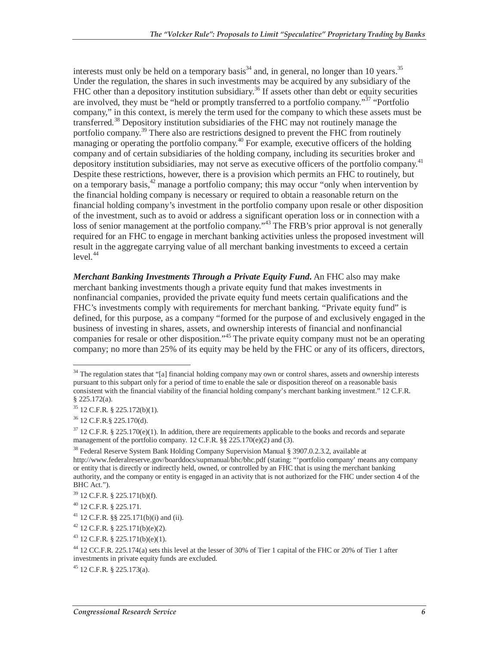interests must only be held on a temporary basis<sup>34</sup> and, in general, no longer than 10 years.<sup>35</sup> Under the regulation, the shares in such investments may be acquired by any subsidiary of the FHC other than a depository institution subsidiary.<sup>36</sup> If assets other than debt or equity securities are involved, they must be "held or promptly transferred to a portfolio company."<sup>37</sup> "Portfolio" company," in this context, is merely the term used for the company to which these assets must be transferred.<sup>38</sup> Depository institution subsidiaries of the FHC may not routinely manage the portfolio company.<sup>39</sup> There also are restrictions designed to prevent the FHC from routinely managing or operating the portfolio company.<sup>40</sup> For example, executive officers of the holding company and of certain subsidiaries of the holding company, including its securities broker and depository institution subsidiaries, may not serve as executive officers of the portfolio company.<sup>41</sup> Despite these restrictions, however, there is a provision which permits an FHC to routinely, but on a temporary basis,  $42$  manage a portfolio company; this may occur "only when intervention by the financial holding company is necessary or required to obtain a reasonable return on the financial holding company's investment in the portfolio company upon resale or other disposition of the investment, such as to avoid or address a significant operation loss or in connection with a loss of senior management at the portfolio company."<sup>43</sup> The FRB's prior approval is not generally required for an FHC to engage in merchant banking activities unless the proposed investment will result in the aggregate carrying value of all merchant banking investments to exceed a certain  $level.<sup>44</sup>$ 

*Merchant Banking Investments Through a Private Equity Fund***.** An FHC also may make merchant banking investments though a private equity fund that makes investments in nonfinancial companies, provided the private equity fund meets certain qualifications and the FHC's investments comply with requirements for merchant banking. "Private equity fund" is defined, for this purpose, as a company "formed for the purpose of and exclusively engaged in the business of investing in shares, assets, and ownership interests of financial and nonfinancial companies for resale or other disposition."<sup>45</sup> The private equity company must not be an operating company; no more than 25% of its equity may be held by the FHC or any of its officers, directors,

<sup>-</sup><sup>34</sup> The regulation states that "[a] financial holding company may own or control shares, assets and ownership interests pursuant to this subpart only for a period of time to enable the sale or disposition thereof on a reasonable basis consistent with the financial viability of the financial holding company's merchant banking investment." 12 C.F.R. § 225.172(a).

<sup>35 12</sup> C.F.R. § 225.172(b)(1).

<sup>36 12</sup> C.F.R.§ 225.170(d).

 $37$  12 C.F.R. § 225.170(e)(1). In addition, there are requirements applicable to the books and records and separate management of the portfolio company. 12 C.F.R. §§ 225.170(e)(2) and (3).

<sup>&</sup>lt;sup>38</sup> Federal Reserve System Bank Holding Company Supervision Manual § 3907.0.2.3.2, available at http://www.federalreserve.gov/boarddocs/supmanual/bhc/bhc.pdf (stating: "'portfolio company' means any company or entity that is directly or indirectly held, owned, or controlled by an FHC that is using the merchant banking authority, and the company or entity is engaged in an activity that is not authorized for the FHC under section 4 of the BHC Act.").

<sup>39 12</sup> C.F.R. § 225.171(b)(f).

<sup>40 12</sup> C.F.R. § 225.171.

<sup>41 12</sup> C.F.R. §§ 225.171(b)(i) and (ii).

 $42$  12 C.F.R. § 225.171(b)(e)(2).

 $43$  12 C.F.R. § 225.171(b)(e)(1).

<sup>44 12</sup> CC.F.R. 225.174(a) sets this level at the lesser of 30% of Tier 1 capital of the FHC or 20% of Tier 1 after investments in private equity funds are excluded.

 $45$  12 C.F.R. § 225.173(a).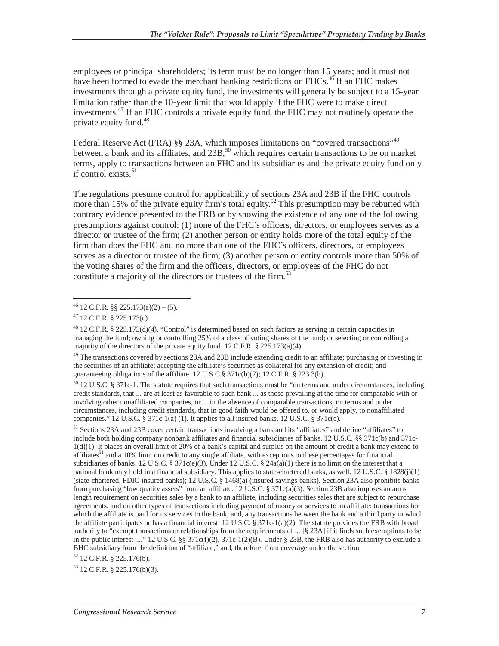employees or principal shareholders; its term must be no longer than 15 years; and it must not have been formed to evade the merchant banking restrictions on FHCs.<sup>46</sup> If an FHC makes investments through a private equity fund, the investments will generally be subject to a 15-year limitation rather than the 10-year limit that would apply if the FHC were to make direct investments.<sup>47</sup> If an FHC controls a private equity fund, the FHC may not routinely operate the private equity fund.48

Federal Reserve Act (FRA) §§ 23A, which imposes limitations on "covered transactions"<sup>49</sup> between a bank and its affiliates, and  $23B$ ,<sup>50</sup> which requires certain transactions to be on market terms, apply to transactions between an FHC and its subsidiaries and the private equity fund only if control exists. $51$ 

The regulations presume control for applicability of sections 23A and 23B if the FHC controls more than 15% of the private equity firm's total equity.<sup>52</sup> This presumption may be rebutted with contrary evidence presented to the FRB or by showing the existence of any one of the following presumptions against control: (1) none of the FHC's officers, directors, or employees serves as a director or trustee of the firm; (2) another person or entity holds more of the total equity of the firm than does the FHC and no more than one of the FHC's officers, directors, or employees serves as a director or trustee of the firm; (3) another person or entity controls more than 50% of the voting shares of the firm and the officers, directors, or employees of the FHC do not constitute a majority of the directors or trustees of the firm.<sup>53</sup>

<sup>48</sup> 12 C.F.R. § 225.173(d)(4). "Control" is determined based on such factors as serving in certain capacities in managing the fund; owning or controlling 25% of a class of voting shares of the fund; or selecting or controlling a majority of the directors of the private equity fund. 12 C.F.R. § 225.173(a)(4).

<sup>49</sup> The transactions covered by sections 23A and 23B include extending credit to an affiliate; purchasing or investing in the securities of an affiliate; accepting the affiliate's securities as collateral for any extension of credit; and guaranteeing obligations of the affiliate. 12 U.S.C.§ 371c(b)(7); 12 C.F.R. § 223.3(h).

50 12 U.S.C. § 371c-1. The statute requires that such transactions must be "on terms and under circumstances, including credit standards, that ... are at least as favorable to such bank ... as those prevailing at the time for comparable with or involving other nonaffiliated companies, or ... in the absence of comparable transactions, on terms and under circumstances, including credit standards, that in good faith would be offered to, or would apply, to nonaffiliated companies."  $12 \text{ U.S.C.}$  §  $371c-1(a)$  (1). It applies to all insured banks.  $12 \text{ U.S.C.}$  §  $371c(e)$ .

51 Sections 23A and 23B cover certain transactions involving a bank and its "affiliates" and define "affiliates" to include both holding company nonbank affiliates and financial subsidiaries of banks. 12 U.S.C. §§ 371c(b) and 371c-1(d)(1). It places an overall limit of 20% of a bank's capital and surplus on the amount of credit a bank may extend to affiliates<sup>51</sup> and a 10% limit on credit to any single affiliate, with exceptions to these percentages for financial subsidiaries of banks. 12 U.S.C. § 371c(e)(3). Under 12 U.S.C. § 24 $a(a)(1)$  there is no limit on the interest that a national bank may hold in a financial subsidiary. This applies to state-chartered banks, as well. 12 U.S.C. § 1828(j)(1) (state-chartered, FDIC-insured banks); 12 U.S.C. § 1468(a) (insured savings banks). Section 23A also prohibits banks from purchasing "low quality assets" from an affiliate. 12 U.S.C. § 371c(a)(3). Section 23B also imposes an arms length requirement on securities sales by a bank to an affiliate, including securities sales that are subject to repurchase agreements, and on other types of transactions including payment of money or services to an affiliate; transactions for which the affiliate is paid for its services to the bank; and, any transactions between the bank and a third party in which the affiliate participates or has a financial interest. 12 U.S.C. § 371c-1(a)(2). The statute provides the FRB with broad authority to "exempt transactions or relationships from the requirements of ... [§ 23A] if it finds such exemptions to be in the public interest ...." 12 U.S.C. §§  $371c(f)(2)$ ,  $371c-1(2)(B)$ . Under § 23B, the FRB also has authority to exclude a BHC subsidiary from the definition of "affiliate," and, therefore, from coverage under the section.

 $52$  12 C.F.R. § 225.176(b).

53 12 C.F.R. § 225.176(b)(3).

 $\overline{a}$  $^{46}$  12 C.F.R. §§ 225.173(a)(2) – (5).

 $47$  12 C.F.R. § 225.173(c).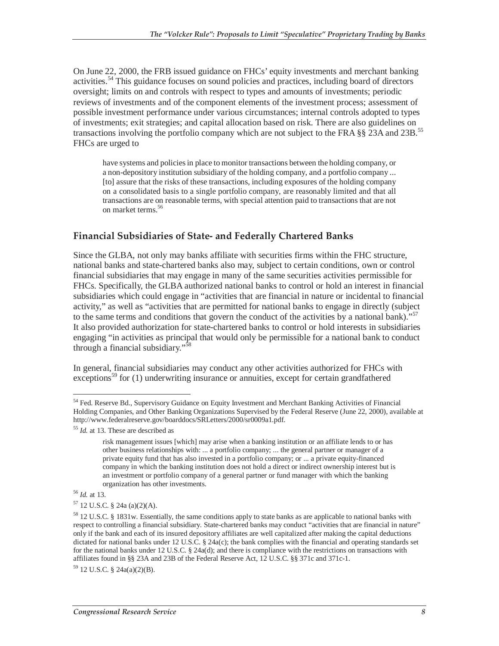On June 22, 2000, the FRB issued guidance on FHCs' equity investments and merchant banking activities.<sup>54</sup> This guidance focuses on sound policies and practices, including board of directors oversight; limits on and controls with respect to types and amounts of investments; periodic reviews of investments and of the component elements of the investment process; assessment of possible investment performance under various circumstances; internal controls adopted to types of investments; exit strategies; and capital allocation based on risk. There are also guidelines on transactions involving the portfolio company which are not subject to the FRA §§ 23A and 23B.<sup>55</sup> FHCs are urged to

have systems and policies in place to monitor transactions between the holding company, or a non-depository institution subsidiary of the holding company, and a portfolio company ... [to] assure that the risks of these transactions, including exposures of the holding company on a consolidated basis to a single portfolio company, are reasonably limited and that all transactions are on reasonable terms, with special attention paid to transactions that are not on market terms.<sup>56</sup>

#### **Financial Subsidiaries of State- and Federally Chartered Banks**

Since the GLBA, not only may banks affiliate with securities firms within the FHC structure, national banks and state-chartered banks also may, subject to certain conditions, own or control financial subsidiaries that may engage in many of the same securities activities permissible for FHCs. Specifically, the GLBA authorized national banks to control or hold an interest in financial subsidiaries which could engage in "activities that are financial in nature or incidental to financial activity," as well as "activities that are permitted for national banks to engage in directly (subject to the same terms and conditions that govern the conduct of the activities by a national bank)."<sup>57</sup> It also provided authorization for state-chartered banks to control or hold interests in subsidiaries engaging "in activities as principal that would only be permissible for a national bank to conduct through a financial subsidiary."<sup>58</sup>

In general, financial subsidiaries may conduct any other activities authorized for FHCs with exceptions<sup>59</sup> for  $(1)$  underwriting insurance or annuities, except for certain grandfathered

59 12 U.S.C. § 24a(a)(2)(B).

<sup>-</sup><sup>54</sup> Fed. Reserve Bd., Supervisory Guidance on Equity Investment and Merchant Banking Activities of Financial Holding Companies, and Other Banking Organizations Supervised by the Federal Reserve (June 22, 2000), available at http://www.federalreserve.gov/boarddocs/SRLetters/2000/sr0009a1.pdf.<br><sup>55</sup> *Id.* at 13. These are described as

risk management issues [which] may arise when a banking institution or an affiliate lends to or has other business relationships with: ... a portfolio company; ... the general partner or manager of a private equity fund that has also invested in a portfolio company; or ... a private equity-financed company in which the banking institution does not hold a direct or indirect ownership interest but is an investment or portfolio company of a general partner or fund manager with which the banking organization has other investments. 56 *Id.* at 13.

<sup>57 12</sup> U.S.C. § 24a (a)(2)(A).

<sup>58 12</sup> U.S.C. § 1831w. Essentially, the same conditions apply to state banks as are applicable to national banks with respect to controlling a financial subsidiary. State-chartered banks may conduct "activities that are financial in nature" only if the bank and each of its insured depository affiliates are well capitalized after making the capital deductions dictated for national banks under 12 U.S.C. § 24a(c); the bank complies with the financial and operating standards set for the national banks under 12 U.S.C. § 24a(d); and there is compliance with the restrictions on transactions with affiliates found in §§ 23A and 23B of the Federal Reserve Act, 12 U.S.C. §§ 371c and 371c-1.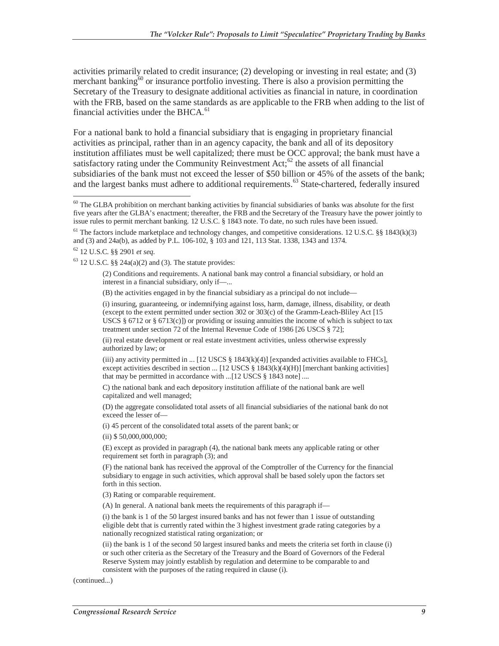activities primarily related to credit insurance; (2) developing or investing in real estate; and (3) merchant banking $60$  or insurance portfolio investing. There is also a provision permitting the Secretary of the Treasury to designate additional activities as financial in nature, in coordination with the FRB, based on the same standards as are applicable to the FRB when adding to the list of financial activities under the BHCA.<sup>61</sup>

For a national bank to hold a financial subsidiary that is engaging in proprietary financial activities as principal, rather than in an agency capacity, the bank and all of its depository institution affiliates must be well capitalized; there must be OCC approval; the bank must have a satisfactory rating under the Community Reinvestment  $Act;^{62}$  the assets of all financial subsidiaries of the bank must not exceed the lesser of \$50 billion or 45% of the assets of the bank; and the largest banks must adhere to additional requirements.<sup>63</sup> State-chartered, federally insured

62 12 U.S.C. §§ 2901 *et seq.* 

 $63$  12 U.S.C. §§ 24a(a)(2) and (3). The statute provides:

(2) Conditions and requirements. A national bank may control a financial subsidiary, or hold an interest in a financial subsidiary, only if—...

(B) the activities engaged in by the financial subsidiary as a principal do not include—

(i) insuring, guaranteeing, or indemnifying against loss, harm, damage, illness, disability, or death (except to the extent permitted under section 302 or 303(c) of the Gramm-Leach-Bliley Act [15 USCS § 6712 or § 6713(c)]) or providing or issuing annuities the income of which is subject to tax treatment under section 72 of the Internal Revenue Code of 1986 [26 USCS § 72];

(ii) real estate development or real estate investment activities, unless otherwise expressly authorized by law; or

(iii) any activity permitted in ... [12 USCS  $\S 1843(k)(4)$ ] [expanded activities available to FHCs], except activities described in section ... [12 USCS § 1843(k)(4)(H)] [merchant banking activities] that may be permitted in accordance with ...[12 USCS § 1843 note] ....

C) the national bank and each depository institution affiliate of the national bank are well capitalized and well managed;

(D) the aggregate consolidated total assets of all financial subsidiaries of the national bank do not exceed the lesser of—

(i) 45 percent of the consolidated total assets of the parent bank; or

(ii) \$ 50,000,000,000;

(E) except as provided in paragraph (4), the national bank meets any applicable rating or other requirement set forth in paragraph (3); and

(F) the national bank has received the approval of the Comptroller of the Currency for the financial subsidiary to engage in such activities, which approval shall be based solely upon the factors set forth in this section.

(3) Rating or comparable requirement.

(A) In general. A national bank meets the requirements of this paragraph if—

(i) the bank is 1 of the 50 largest insured banks and has not fewer than 1 issue of outstanding eligible debt that is currently rated within the 3 highest investment grade rating categories by a nationally recognized statistical rating organization; or

(ii) the bank is 1 of the second 50 largest insured banks and meets the criteria set forth in clause (i) or such other criteria as the Secretary of the Treasury and the Board of Governors of the Federal Reserve System may jointly establish by regulation and determine to be comparable to and consistent with the purposes of the rating required in clause (i).

(continued...)

 $\overline{a}$  $60$  The GLBA prohibition on merchant banking activities by financial subsidiaries of banks was absolute for the first five years after the GLBA's enactment; thereafter, the FRB and the Secretary of the Treasury have the power jointly to issue rules to permit merchant banking. 12 U.S.C. § 1843 note. To date, no such rules have been issued.

<sup>&</sup>lt;sup>61</sup> The factors include marketplace and technology changes, and competitive considerations. 12 U.S.C. §§ 1843(k)(3) and (3) and 24a(b), as added by P.L. 106-102, § 103 and 121, 113 Stat. 1338, 1343 and 1374.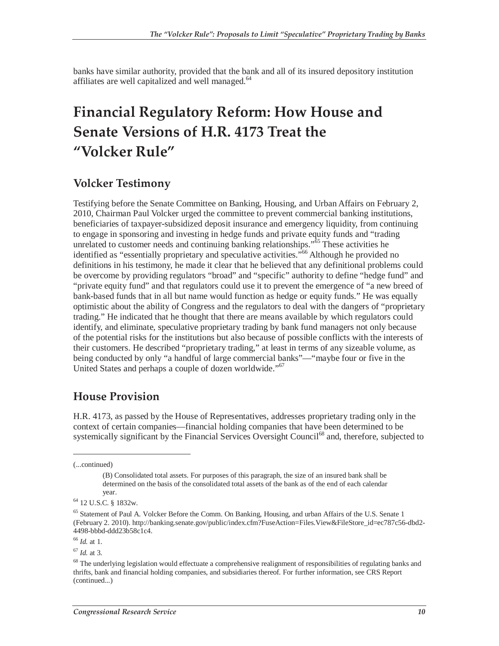banks have similar authority, provided that the bank and all of its insured depository institution affiliates are well capitalized and well managed.<sup>64</sup>

### **Financial Regulatory Reform: How House and Senate Versions of H.R. 4173 Treat the "Volcker Rule"**

#### **Volcker Testimony**

Testifying before the Senate Committee on Banking, Housing, and Urban Affairs on February 2, 2010, Chairman Paul Volcker urged the committee to prevent commercial banking institutions, beneficiaries of taxpayer-subsidized deposit insurance and emergency liquidity, from continuing to engage in sponsoring and investing in hedge funds and private equity funds and "trading unrelated to customer needs and continuing banking relationships." $\frac{55}{65}$  These activities he identified as "essentially proprietary and speculative activities."66 Although he provided no definitions in his testimony, he made it clear that he believed that any definitional problems could be overcome by providing regulators "broad" and "specific" authority to define "hedge fund" and "private equity fund" and that regulators could use it to prevent the emergence of "a new breed of bank-based funds that in all but name would function as hedge or equity funds." He was equally optimistic about the ability of Congress and the regulators to deal with the dangers of "proprietary trading." He indicated that he thought that there are means available by which regulators could identify, and eliminate, speculative proprietary trading by bank fund managers not only because of the potential risks for the institutions but also because of possible conflicts with the interests of their customers. He described "proprietary trading," at least in terms of any sizeable volume, as being conducted by only "a handful of large commercial banks"—"maybe four or five in the United States and perhaps a couple of dozen worldwide."<sup>67</sup>

#### **House Provision**

H.R. 4173, as passed by the House of Representatives, addresses proprietary trading only in the context of certain companies—financial holding companies that have been determined to be systemically significant by the Financial Services Oversight Council<sup>68</sup> and, therefore, subjected to

(...continued)

<u>.</u>

<sup>67</sup> *Id.* at 3.

<sup>(</sup>B) Consolidated total assets. For purposes of this paragraph, the size of an insured bank shall be determined on the basis of the consolidated total assets of the bank as of the end of each calendar

year.<br><sup>64</sup> 12 U.S.C. § 1832w.

<sup>&</sup>lt;sup>65</sup> Statement of Paul A. Volcker Before the Comm. On Banking, Housing, and urban Affairs of the U.S. Senate 1 (February 2. 2010). http://banking.senate.gov/public/index.cfm?FuseAction=Files.View&FileStore\_id=ec787c56-dbd2- 4498-bbbd-ddd23b58c1c4.

<sup>66</sup> *Id.* at 1.

 $68$  The underlying legislation would effectuate a comprehensive realignment of responsibilities of regulating banks and thrifts, bank and financial holding companies, and subsidiaries thereof. For further information, see CRS Report (continued...)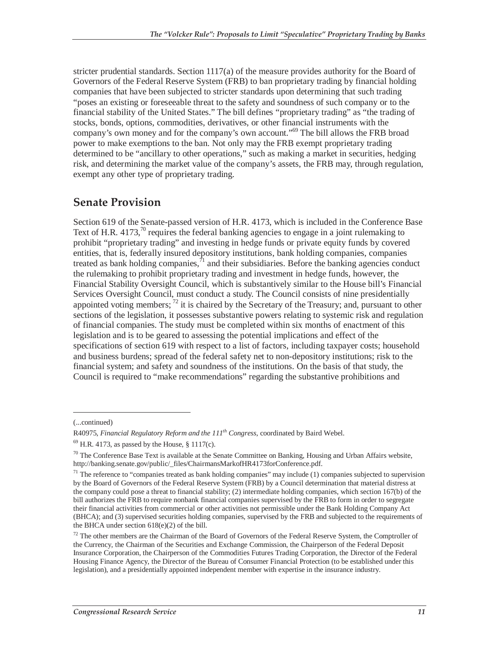stricter prudential standards. Section 1117(a) of the measure provides authority for the Board of Governors of the Federal Reserve System (FRB) to ban proprietary trading by financial holding companies that have been subjected to stricter standards upon determining that such trading "poses an existing or foreseeable threat to the safety and soundness of such company or to the financial stability of the United States." The bill defines "proprietary trading" as "the trading of stocks, bonds, options, commodities, derivatives, or other financial instruments with the company's own money and for the company's own account."<sup>69</sup> The bill allows the FRB broad power to make exemptions to the ban. Not only may the FRB exempt proprietary trading determined to be "ancillary to other operations," such as making a market in securities, hedging risk, and determining the market value of the company's assets, the FRB may, through regulation, exempt any other type of proprietary trading.

#### **Senate Provision**

Section 619 of the Senate-passed version of H.R. 4173, which is included in the Conference Base Text of H.R. 4173,<sup>70</sup> requires the federal banking agencies to engage in a joint rulemaking to prohibit "proprietary trading" and investing in hedge funds or private equity funds by covered entities, that is, federally insured depository institutions, bank holding companies, companies treated as bank holding companies, $\hat{I}$  and their subsidiaries. Before the banking agencies conduct the rulemaking to prohibit proprietary trading and investment in hedge funds, however, the Financial Stability Oversight Council, which is substantively similar to the House bill's Financial Services Oversight Council, must conduct a study. The Council consists of nine presidentially appointed voting members;  $^{72}$  it is chaired by the Secretary of the Treasury; and, pursuant to other sections of the legislation, it possesses substantive powers relating to systemic risk and regulation of financial companies. The study must be completed within six months of enactment of this legislation and is to be geared to assessing the potential implications and effect of the specifications of section 619 with respect to a list of factors, including taxpayer costs; household and business burdens; spread of the federal safety net to non-depository institutions; risk to the financial system; and safety and soundness of the institutions. On the basis of that study, the Council is required to "make recommendations" regarding the substantive prohibitions and

-

<sup>(...</sup>continued)

R40975, *Financial Regulatory Reform and the 111th Congress*, coordinated by Baird Webel.

 $69$  H.R. 4173, as passed by the House, § 1117(c).

 $70$  The Conference Base Text is available at the Senate Committee on Banking, Housing and Urban Affairs website, http://banking.senate.gov/public/\_files/ChairmansMarkofHR4173forConference.pdf.

 $71$  The reference to "companies treated as bank holding companies" may include (1) companies subjected to supervision by the Board of Governors of the Federal Reserve System (FRB) by a Council determination that material distress at the company could pose a threat to financial stability; (2) intermediate holding companies, which section 167(b) of the bill authorizes the FRB to require nonbank financial companies supervised by the FRB to form in order to segregate their financial activities from commercial or other activities not permissible under the Bank Holding Company Act (BHCA); and (3) supervised securities holding companies, supervised by the FRB and subjected to the requirements of the BHCA under section 618(e)(2) of the bill.

 $72$  The other members are the Chairman of the Board of Governors of the Federal Reserve System, the Comptroller of the Currency, the Chairman of the Securities and Exchange Commission, the Chairperson of the Federal Deposit Insurance Corporation, the Chairperson of the Commodities Futures Trading Corporation, the Director of the Federal Housing Finance Agency, the Director of the Bureau of Consumer Financial Protection (to be established under this legislation), and a presidentially appointed independent member with expertise in the insurance industry.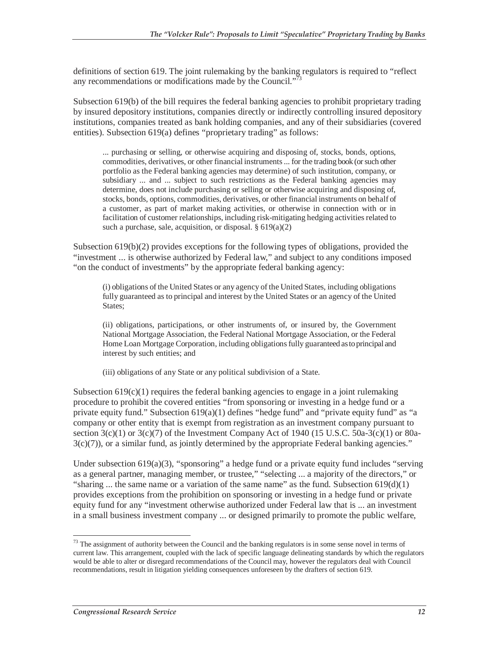definitions of section 619. The joint rulemaking by the banking regulators is required to "reflect any recommendations or modifications made by the Council."<sup>73</sup>

Subsection 619(b) of the bill requires the federal banking agencies to prohibit proprietary trading by insured depository institutions, companies directly or indirectly controlling insured depository institutions, companies treated as bank holding companies, and any of their subsidiaries (covered entities). Subsection 619(a) defines "proprietary trading" as follows:

... purchasing or selling, or otherwise acquiring and disposing of, stocks, bonds, options, commodities, derivatives, or other financial instruments ... for the trading book (or such other portfolio as the Federal banking agencies may determine) of such institution, company, or subsidiary ... and ... subject to such restrictions as the Federal banking agencies may determine, does not include purchasing or selling or otherwise acquiring and disposing of, stocks, bonds, options, commodities, derivatives, or other financial instruments on behalf of a customer, as part of market making activities, or otherwise in connection with or in facilitation of customer relationships, including risk-mitigating hedging activities related to such a purchase, sale, acquisition, or disposal. § 619(a)(2)

Subsection 619(b)(2) provides exceptions for the following types of obligations, provided the "investment ... is otherwise authorized by Federal law," and subject to any conditions imposed "on the conduct of investments" by the appropriate federal banking agency:

(i) obligations of the United States or any agency of the United States, including obligations fully guaranteed as to principal and interest by the United States or an agency of the United States;

(ii) obligations, participations, or other instruments of, or insured by, the Government National Mortgage Association, the Federal National Mortgage Association, or the Federal Home Loan Mortgage Corporation, including obligations fully guaranteed as to principal and interest by such entities; and

(iii) obligations of any State or any political subdivision of a State.

Subsection  $619(c)(1)$  requires the federal banking agencies to engage in a joint rulemaking procedure to prohibit the covered entities "from sponsoring or investing in a hedge fund or a private equity fund." Subsection 619(a)(1) defines "hedge fund" and "private equity fund" as "a company or other entity that is exempt from registration as an investment company pursuant to section  $3(c)(1)$  or  $3(c)(7)$  of the Investment Company Act of 1940 (15 U.S.C. 50a-3(c)(1) or 80a- $3(c)(7)$ ), or a similar fund, as jointly determined by the appropriate Federal banking agencies."

Under subsection  $619(a)(3)$ , "sponsoring" a hedge fund or a private equity fund includes "serving as a general partner, managing member, or trustee," "selecting ... a majority of the directors," or "sharing ... the same name or a variation of the same name" as the fund. Subsection  $619(d)(1)$ provides exceptions from the prohibition on sponsoring or investing in a hedge fund or private equity fund for any "investment otherwise authorized under Federal law that is ... an investment in a small business investment company ... or designed primarily to promote the public welfare,

<sup>-</sup> $73$  The assignment of authority between the Council and the banking regulators is in some sense novel in terms of current law. This arrangement, coupled with the lack of specific language delineating standards by which the regulators would be able to alter or disregard recommendations of the Council may, however the regulators deal with Council recommendations, result in litigation yielding consequences unforeseen by the drafters of section 619.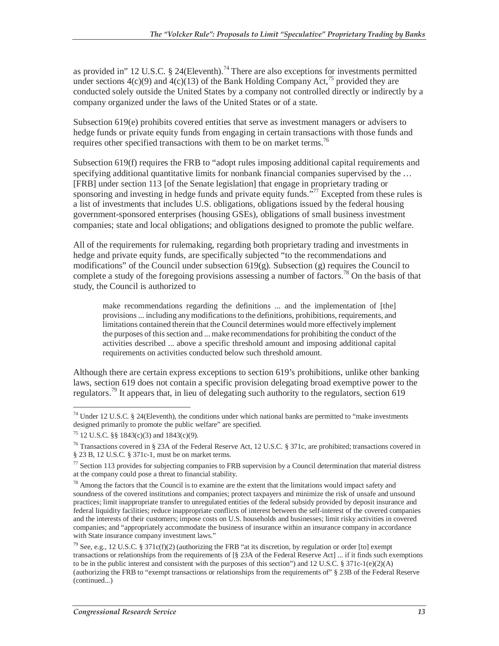as provided in" 12 U.S.C. § 24(Eleventh).<sup>74</sup> There are also exceptions for investments permitted under sections  $4(c)(9)$  and  $4(c)(13)$  of the Bank Holding Company Act,<sup>75</sup> provided they are conducted solely outside the United States by a company not controlled directly or indirectly by a company organized under the laws of the United States or of a state.

Subsection 619(e) prohibits covered entities that serve as investment managers or advisers to hedge funds or private equity funds from engaging in certain transactions with those funds and requires other specified transactions with them to be on market terms.<sup>76</sup>

Subsection 619(f) requires the FRB to "adopt rules imposing additional capital requirements and specifying additional quantitative limits for nonbank financial companies supervised by the ... [FRB] under section 113 [of the Senate legislation] that engage in proprietary trading or sponsoring and investing in hedge funds and private equity funds.<sup>577</sup> Excepted from these rules is a list of investments that includes U.S. obligations, obligations issued by the federal housing government-sponsored enterprises (housing GSEs), obligations of small business investment companies; state and local obligations; and obligations designed to promote the public welfare.

All of the requirements for rulemaking, regarding both proprietary trading and investments in hedge and private equity funds, are specifically subjected "to the recommendations and modifications" of the Council under subsection  $619(g)$ . Subsection (g) requires the Council to complete a study of the foregoing provisions assessing a number of factors.<sup>78</sup> On the basis of that study, the Council is authorized to

make recommendations regarding the definitions ... and the implementation of [the] provisions ... including any modifications to the definitions, prohibitions, requirements, and limitations contained therein that the Council determines would more effectively implement the purposes of this section and ... make recommendations for prohibiting the conduct of the activities described ... above a specific threshold amount and imposing additional capital requirements on activities conducted below such threshold amount.

Although there are certain express exceptions to section 619's prohibitions, unlike other banking laws, section 619 does not contain a specific provision delegating broad exemptive power to the regulators.<sup>79</sup> It appears that, in lieu of delegating such authority to the regulators, section 619

<sup>-</sup> $74$  Under 12 U.S.C. § 24(Eleventh), the conditions under which national banks are permitted to "make investments" designed primarily to promote the public welfare" are specified.

<sup>75 12</sup> U.S.C. §§ 1843(c)(3) and 1843(c)(9).

<sup>&</sup>lt;sup>76</sup> Transactions covered in § 23A of the Federal Reserve Act, 12 U.S.C. § 371c, are prohibited; transactions covered in § 23 B, 12 U.S.C. § 371c-1, must be on market terms.

 $77$  Section 113 provides for subjecting companies to FRB supervision by a Council determination that material distress at the company could pose a threat to financial stability.

 $78$  Among the factors that the Council is to examine are the extent that the limitations would impact safety and soundness of the covered institutions and companies; protect taxpayers and minimize the risk of unsafe and unsound practices; limit inappropriate transfer to unregulated entities of the federal subsidy provided by deposit insurance and federal liquidity facilities; reduce inappropriate conflicts of interest between the self-interest of the covered companies and the interests of their customers; impose costs on U.S. households and businesses; limit risky activities in covered companies; and "appropriately accommodate the business of insurance within an insurance company in accordance with State insurance company investment laws."

<sup>&</sup>lt;sup>79</sup> See, e.g., 12 U.S.C. § 371c(f)(2) (authorizing the FRB "at its discretion, by regulation or order [to] exempt transactions or relationships from the requirements of [§ 23A of the Federal Reserve Act] ... if it finds such exemptions to be in the public interest and consistent with the purposes of this section") and 12 U.S.C. § 371c-1(e)(2)(A) (authorizing the FRB to "exempt transactions or relationships from the requirements of" § 23B of the Federal Reserve (continued...)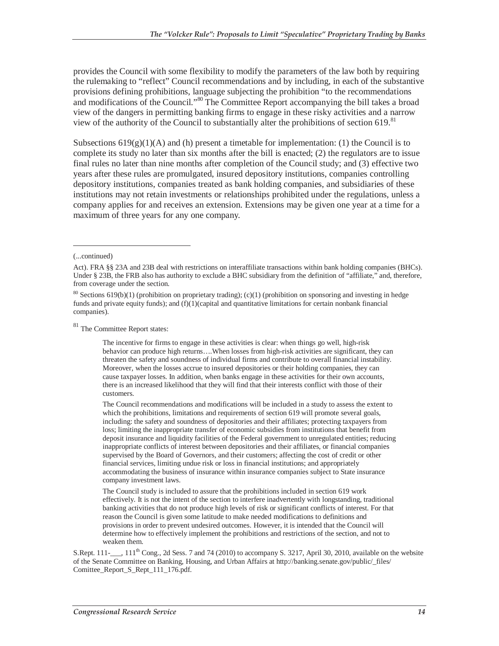provides the Council with some flexibility to modify the parameters of the law both by requiring the rulemaking to "reflect" Council recommendations and by including, in each of the substantive provisions defining prohibitions, language subjecting the prohibition "to the recommendations and modifications of the Council."<sup>80</sup> The Committee Report accompanying the bill takes a broad view of the dangers in permitting banking firms to engage in these risky activities and a narrow view of the authority of the Council to substantially alter the prohibitions of section  $619$ .<sup>81</sup>

Subsections  $619(g)(1)(A)$  and (h) present a timetable for implementation: (1) the Council is to complete its study no later than six months after the bill is enacted; (2) the regulators are to issue final rules no later than nine months after completion of the Council study; and (3) effective two years after these rules are promulgated, insured depository institutions, companies controlling depository institutions, companies treated as bank holding companies, and subsidiaries of these institutions may not retain investments or relationships prohibited under the regulations, unless a company applies for and receives an extension. Extensions may be given one year at a time for a maximum of three years for any one company.

-

 $\ensuremath{^{81}}$  The Committee Report states:

The incentive for firms to engage in these activities is clear: when things go well, high-risk behavior can produce high returns….When losses from high-risk activities are significant, they can threaten the safety and soundness of individual firms and contribute to overall financial instability. Moreover, when the losses accrue to insured depositories or their holding companies, they can cause taxpayer losses. In addition, when banks engage in these activities for their own accounts, there is an increased likelihood that they will find that their interests conflict with those of their customers.

The Council recommendations and modifications will be included in a study to assess the extent to which the prohibitions, limitations and requirements of section 619 will promote several goals, including: the safety and soundness of depositories and their affiliates; protecting taxpayers from loss; limiting the inappropriate transfer of economic subsidies from institutions that benefit from deposit insurance and liquidity facilities of the Federal government to unregulated entities; reducing inappropriate conflicts of interest between depositories and their affiliates, or financial companies supervised by the Board of Governors, and their customers; affecting the cost of credit or other financial services, limiting undue risk or loss in financial institutions; and appropriately accommodating the business of insurance within insurance companies subject to State insurance company investment laws.

The Council study is included to assure that the prohibitions included in section 619 work effectively. It is not the intent of the section to interfere inadvertently with longstanding, traditional banking activities that do not produce high levels of risk or significant conflicts of interest. For that reason the Council is given some latitude to make needed modifications to definitions and provisions in order to prevent undesired outcomes. However, it is intended that the Council will determine how to effectively implement the prohibitions and restrictions of the section, and not to weaken them.

S.Rept. 111- $\ldots$ , 111<sup>th</sup> Cong., 2d Sess. 7 and 74 (2010) to accompany S. 3217, April 30, 2010, available on the website of the Senate Committee on Banking, Housing, and Urban Affairs at http://banking.senate.gov/public/\_files/ Comittee\_Report\_S\_Rept\_111\_176.pdf.

<sup>(...</sup>continued)

Act). FRA §§ 23A and 23B deal with restrictions on interaffiliate transactions within bank holding companies (BHCs). Under § 23B, the FRB also has authority to exclude a BHC subsidiary from the definition of "affiliate," and, therefore, from coverage under the section.

 $80$  Sections 619(b)(1) (prohibition on proprietary trading); (c)(1) (prohibition on sponsoring and investing in hedge funds and private equity funds); and (f)(1)(capital and quantitative limitations for certain nonbank financial companies).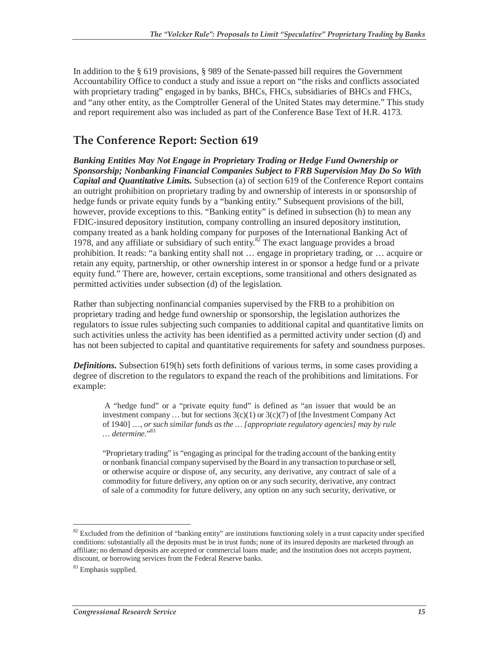In addition to the § 619 provisions, § 989 of the Senate-passed bill requires the Government Accountability Office to conduct a study and issue a report on "the risks and conflicts associated with proprietary trading" engaged in by banks, BHCs, FHCs, subsidiaries of BHCs and FHCs, and "any other entity, as the Comptroller General of the United States may determine." This study and report requirement also was included as part of the Conference Base Text of H.R. 4173.

### **The Conference Report: Section 619**

*Banking Entities May Not Engage in Proprietary Trading or Hedge Fund Ownership or Sponsorship; Nonbanking Financial Companies Subject to FRB Supervision May Do So With Capital and Quantitative Limits.* Subsection (a) of section 619 of the Conference Report contains an outright prohibition on proprietary trading by and ownership of interests in or sponsorship of hedge funds or private equity funds by a "banking entity." Subsequent provisions of the bill, however, provide exceptions to this. "Banking entity" is defined in subsection (h) to mean any FDIC-insured depository institution, company controlling an insured depository institution, company treated as a bank holding company for purposes of the International Banking Act of 1978, and any affiliate or subsidiary of such entity.<sup>82</sup> The exact language provides a broad prohibition. It reads: "a banking entity shall not … engage in proprietary trading, or … acquire or retain any equity, partnership, or other ownership interest in or sponsor a hedge fund or a private equity fund." There are, however, certain exceptions, some transitional and others designated as permitted activities under subsection (d) of the legislation.

Rather than subjecting nonfinancial companies supervised by the FRB to a prohibition on proprietary trading and hedge fund ownership or sponsorship, the legislation authorizes the regulators to issue rules subjecting such companies to additional capital and quantitative limits on such activities unless the activity has been identified as a permitted activity under section (d) and has not been subjected to capital and quantitative requirements for safety and soundness purposes.

*Definitions.* Subsection 619(h) sets forth definitions of various terms, in some cases providing a degree of discretion to the regulators to expand the reach of the prohibitions and limitations. For example:

 A "hedge fund" or a "private equity fund" is defined as "an issuer that would be an investment company ... but for sections  $3(c)(1)$  or  $3(c)(7)$  of [the Investment Company Act of 1940] …, *or such similar funds as the … [appropriate regulatory agencies] may by rule … determine*."83

"Proprietary trading" is "engaging as principal for the trading account of the banking entity or nonbank financial company supervised by the Board in any transaction to purchase or sell, or otherwise acquire or dispose of, any security, any derivative, any contract of sale of a commodity for future delivery, any option on or any such security, derivative, any contract of sale of a commodity for future delivery, any option on any such security, derivative, or

 $\overline{a}$ 

 $82$  Excluded from the definition of "banking entity" are institutions functioning solely in a trust capacity under specified conditions: substantially all the deposits must be in trust funds; none of its insured deposits are marketed through an affiliate; no demand deposits are accepted or commercial loans made; and the institution does not accepts payment, discount, or borrowing services from the Federal Reserve banks.

<sup>&</sup>lt;sup>83</sup> Emphasis supplied.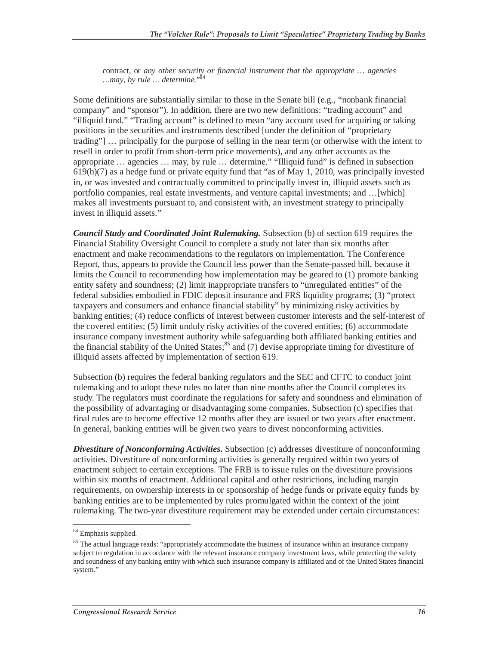contract, or *any other security or financial instrument that the appropriate … agencies …may, by rule … determine.*" 84

Some definitions are substantially similar to those in the Senate bill (e.g., "nonbank financial company" and "sponsor"). In addition, there are two new definitions: "trading account" and "illiquid fund." "Trading account" is defined to mean "any account used for acquiring or taking positions in the securities and instruments described [under the definition of "proprietary trading"] … principally for the purpose of selling in the near term (or otherwise with the intent to resell in order to profit from short-term price movements), and any other accounts as the appropriate … agencies … may, by rule … determine." "Illiquid fund" is defined in subsection 619(h)(7) as a hedge fund or private equity fund that "as of May 1, 2010, was principally invested in, or was invested and contractually committed to principally invest in, illiquid assets such as portfolio companies, real estate investments, and venture capital investments; and …[which] makes all investments pursuant to, and consistent with, an investment strategy to principally invest in illiquid assets."

*Council Study and Coordinated Joint Rulemaking.* Subsection (b) of section 619 requires the Financial Stability Oversight Council to complete a study not later than six months after enactment and make recommendations to the regulators on implementation. The Conference Report, thus, appears to provide the Council less power than the Senate-passed bill, because it limits the Council to recommending how implementation may be geared to (1) promote banking entity safety and soundness; (2) limit inappropriate transfers to "unregulated entities" of the federal subsidies embodied in FDIC deposit insurance and FRS liquidity programs; (3) "protect taxpayers and consumers and enhance financial stability" by minimizing risky activities by banking entities; (4) reduce conflicts of interest between customer interests and the self-interest of the covered entities; (5) limit unduly risky activities of the covered entities; (6) accommodate insurance company investment authority while safeguarding both affiliated banking entities and the financial stability of the United States;  $^{85}$  and (7) devise appropriate timing for divestiture of illiquid assets affected by implementation of section 619.

Subsection (b) requires the federal banking regulators and the SEC and CFTC to conduct joint rulemaking and to adopt these rules no later than nine months after the Council completes its study. The regulators must coordinate the regulations for safety and soundness and elimination of the possibility of advantaging or disadvantaging some companies. Subsection (c) specifies that final rules are to become effective 12 months after they are issued or two years after enactment. In general, banking entities will be given two years to divest nonconforming activities.

*Divestiture of Nonconforming Activities.* Subsection (c) addresses divestiture of nonconforming activities. Divestiture of nonconforming activities is generally required within two years of enactment subject to certain exceptions. The FRB is to issue rules on the divestiture provisions within six months of enactment. Additional capital and other restrictions, including margin requirements, on ownership interests in or sponsorship of hedge funds or private equity funds by banking entities are to be implemented by rules promulgated within the context of the joint rulemaking. The two-year divestiture requirement may be extended under certain circumstances:

 $\overline{a}$ <sup>84</sup> Emphasis supplied.

<sup>&</sup>lt;sup>85</sup> The actual language reads: "appropriately accommodate the business of insurance within an insurance company subject to regulation in accordance with the relevant insurance company investment laws, while protecting the safety and soundness of any banking entity with which such insurance company is affiliated and of the United States financial system."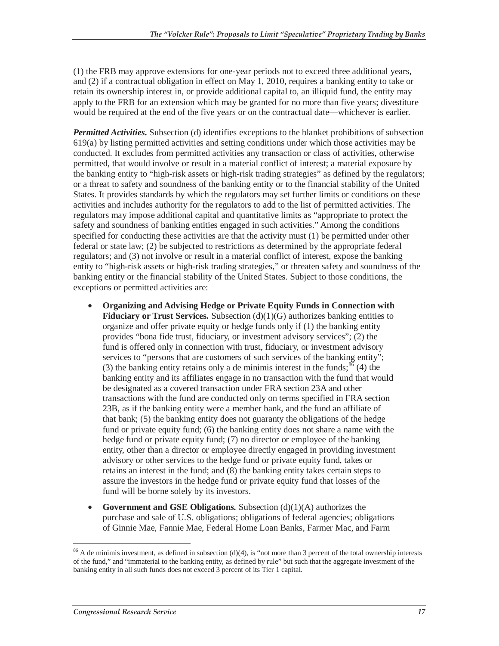(1) the FRB may approve extensions for one-year periods not to exceed three additional years, and (2) if a contractual obligation in effect on May 1, 2010, requires a banking entity to take or retain its ownership interest in, or provide additional capital to, an illiquid fund, the entity may apply to the FRB for an extension which may be granted for no more than five years; divestiture would be required at the end of the five years or on the contractual date—whichever is earlier.

*Permitted Activities.* Subsection (d) identifies exceptions to the blanket prohibitions of subsection 619(a) by listing permitted activities and setting conditions under which those activities may be conducted. It excludes from permitted activities any transaction or class of activities, otherwise permitted, that would involve or result in a material conflict of interest; a material exposure by the banking entity to "high-risk assets or high-risk trading strategies" as defined by the regulators; or a threat to safety and soundness of the banking entity or to the financial stability of the United States. It provides standards by which the regulators may set further limits or conditions on these activities and includes authority for the regulators to add to the list of permitted activities. The regulators may impose additional capital and quantitative limits as "appropriate to protect the safety and soundness of banking entities engaged in such activities." Among the conditions specified for conducting these activities are that the activity must (1) be permitted under other federal or state law; (2) be subjected to restrictions as determined by the appropriate federal regulators; and (3) not involve or result in a material conflict of interest, expose the banking entity to "high-risk assets or high-risk trading strategies," or threaten safety and soundness of the banking entity or the financial stability of the United States. Subject to those conditions, the exceptions or permitted activities are:

- **Organizing and Advising Hedge or Private Equity Funds in Connection with Fiduciary or Trust Services***.* Subsection (d)(1)(G) authorizes banking entities to organize and offer private equity or hedge funds only if (1) the banking entity provides "bona fide trust, fiduciary, or investment advisory services"; (2) the fund is offered only in connection with trust, fiduciary, or investment advisory services to "persons that are customers of such services of the banking entity"; (3) the banking entity retains only a de minimis interest in the funds;  $86$  (4) the banking entity and its affiliates engage in no transaction with the fund that would be designated as a covered transaction under FRA section 23A and other transactions with the fund are conducted only on terms specified in FRA section 23B, as if the banking entity were a member bank, and the fund an affiliate of that bank; (5) the banking entity does not guaranty the obligations of the hedge fund or private equity fund; (6) the banking entity does not share a name with the hedge fund or private equity fund; (7) no director or employee of the banking entity, other than a director or employee directly engaged in providing investment advisory or other services to the hedge fund or private equity fund, takes or retains an interest in the fund; and (8) the banking entity takes certain steps to assure the investors in the hedge fund or private equity fund that losses of the fund will be borne solely by its investors.
- **Government and GSE Obligations***.* Subsection (d)(1)(A) authorizes the purchase and sale of U.S. obligations; obligations of federal agencies; obligations of Ginnie Mae, Fannie Mae, Federal Home Loan Banks, Farmer Mac, and Farm

-

 $86$  A de minimis investment, as defined in subsection (d)(4), is "not more than 3 percent of the total ownership interests of the fund," and "immaterial to the banking entity, as defined by rule" but such that the aggregate investment of the banking entity in all such funds does not exceed 3 percent of its Tier 1 capital.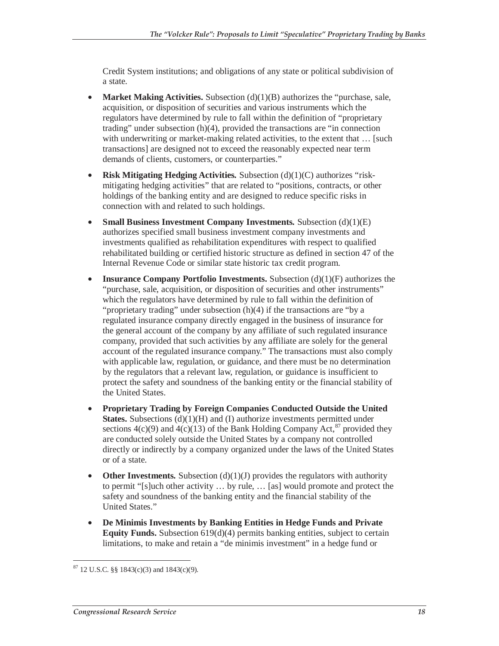Credit System institutions; and obligations of any state or political subdivision of a state.

- **Market Making Activities.** Subsection  $(d)(1)(B)$  authorizes the "purchase, sale, acquisition, or disposition of securities and various instruments which the regulators have determined by rule to fall within the definition of "proprietary trading" under subsection (h)(4), provided the transactions are "in connection with underwriting or market-making related activities, to the extent that ... [such] transactions] are designed not to exceed the reasonably expected near term demands of clients, customers, or counterparties."
- **Risk Mitigating Hedging Activities***.* Subsection (d)(1)(C) authorizes "riskmitigating hedging activities" that are related to "positions, contracts, or other holdings of the banking entity and are designed to reduce specific risks in connection with and related to such holdings.
- **Small Business Investment Company Investments***.* Subsection (d)(1)(E) authorizes specified small business investment company investments and investments qualified as rehabilitation expenditures with respect to qualified rehabilitated building or certified historic structure as defined in section 47 of the Internal Revenue Code or similar state historic tax credit program.
- **Insurance Company Portfolio Investments.** Subsection (d)(1)(F) authorizes the "purchase, sale, acquisition, or disposition of securities and other instruments" which the regulators have determined by rule to fall within the definition of "proprietary trading" under subsection (h)(4) if the transactions are "by a regulated insurance company directly engaged in the business of insurance for the general account of the company by any affiliate of such regulated insurance company, provided that such activities by any affiliate are solely for the general account of the regulated insurance company." The transactions must also comply with applicable law, regulation, or guidance, and there must be no determination by the regulators that a relevant law, regulation, or guidance is insufficient to protect the safety and soundness of the banking entity or the financial stability of the United States.
- **Proprietary Trading by Foreign Companies Conducted Outside the United States.** Subsections (d)(1)(H) and (I) authorize investments permitted under sections  $4(c)(9)$  and  $4(c)(13)$  of the Bank Holding Company Act,<sup>87</sup> provided they are conducted solely outside the United States by a company not controlled directly or indirectly by a company organized under the laws of the United States or of a state.
- **Other Investments.** Subsection  $(d)(1)(J)$  provides the regulators with authority to permit "[s]uch other activity … by rule, … [as] would promote and protect the safety and soundness of the banking entity and the financial stability of the United States."
- **De Minimis Investments by Banking Entities in Hedge Funds and Private Equity Funds.** Subsection 619(d)(4) permits banking entities, subject to certain limitations, to make and retain a "de minimis investment" in a hedge fund or

<sup>-</sup> $87$  12 U.S.C. §§ 1843(c)(3) and 1843(c)(9).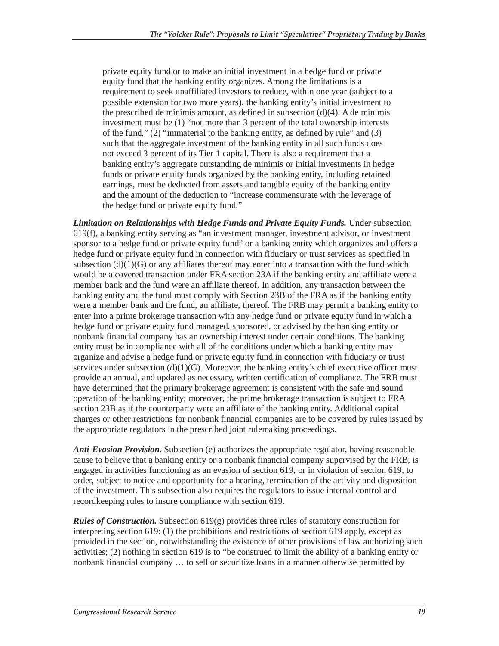private equity fund or to make an initial investment in a hedge fund or private equity fund that the banking entity organizes. Among the limitations is a requirement to seek unaffiliated investors to reduce, within one year (subject to a possible extension for two more years), the banking entity's initial investment to the prescribed de minimis amount, as defined in subsection  $(d)(4)$ . A de minimis investment must be (1) "not more than 3 percent of the total ownership interests of the fund," (2) "immaterial to the banking entity, as defined by rule" and (3) such that the aggregate investment of the banking entity in all such funds does not exceed 3 percent of its Tier 1 capital. There is also a requirement that a banking entity's aggregate outstanding de minimis or initial investments in hedge funds or private equity funds organized by the banking entity, including retained earnings, must be deducted from assets and tangible equity of the banking entity and the amount of the deduction to "increase commensurate with the leverage of the hedge fund or private equity fund."

**Limitation on Relationships with Hedge Funds and Private Equity Funds.** Under subsection 619(f), a banking entity serving as "an investment manager, investment advisor, or investment sponsor to a hedge fund or private equity fund" or a banking entity which organizes and offers a hedge fund or private equity fund in connection with fiduciary or trust services as specified in subsection  $(d)(1)(G)$  or any affiliates thereof may enter into a transaction with the fund which would be a covered transaction under FRA section 23A if the banking entity and affiliate were a member bank and the fund were an affiliate thereof. In addition, any transaction between the banking entity and the fund must comply with Section 23B of the FRA as if the banking entity were a member bank and the fund, an affiliate, thereof. The FRB may permit a banking entity to enter into a prime brokerage transaction with any hedge fund or private equity fund in which a hedge fund or private equity fund managed, sponsored, or advised by the banking entity or nonbank financial company has an ownership interest under certain conditions. The banking entity must be in compliance with all of the conditions under which a banking entity may organize and advise a hedge fund or private equity fund in connection with fiduciary or trust services under subsection  $(d)(1)(G)$ . Moreover, the banking entity's chief executive officer must provide an annual, and updated as necessary, written certification of compliance. The FRB must have determined that the primary brokerage agreement is consistent with the safe and sound operation of the banking entity; moreover, the prime brokerage transaction is subject to FRA section 23B as if the counterparty were an affiliate of the banking entity. Additional capital charges or other restrictions for nonbank financial companies are to be covered by rules issued by the appropriate regulators in the prescribed joint rulemaking proceedings.

*Anti-Evasion Provision.* Subsection (e) authorizes the appropriate regulator, having reasonable cause to believe that a banking entity or a nonbank financial company supervised by the FRB, is engaged in activities functioning as an evasion of section 619, or in violation of section 619, to order, subject to notice and opportunity for a hearing, termination of the activity and disposition of the investment. This subsection also requires the regulators to issue internal control and recordkeeping rules to insure compliance with section 619.

*Rules of Construction.* Subsection 619(g) provides three rules of statutory construction for interpreting section 619: (1) the prohibitions and restrictions of section 619 apply, except as provided in the section, notwithstanding the existence of other provisions of law authorizing such activities; (2) nothing in section 619 is to "be construed to limit the ability of a banking entity or nonbank financial company … to sell or securitize loans in a manner otherwise permitted by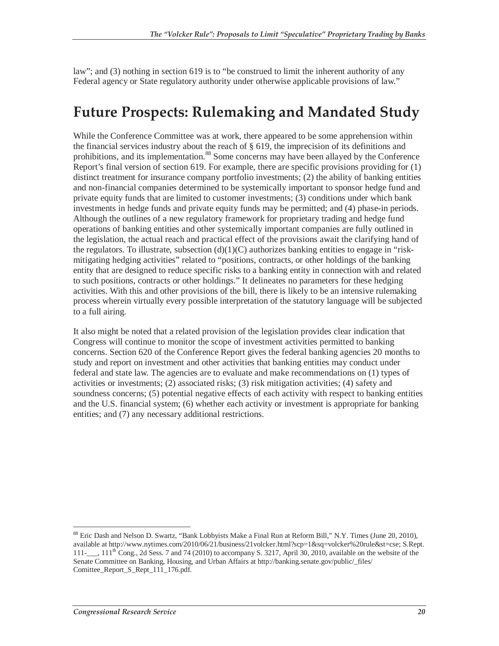law"; and (3) nothing in section 619 is to "be construed to limit the inherent authority of any Federal agency or State regulatory authority under otherwise applicable provisions of law."

### **Future Prospects: Rulemaking and Mandated Study**

While the Conference Committee was at work, there appeared to be some apprehension within the financial services industry about the reach of § 619, the imprecision of its definitions and prohibitions, and its implementation.<sup>88</sup> Some concerns may have been allayed by the Conference Report's final version of section 619. For example, there are specific provisions providing for (1) distinct treatment for insurance company portfolio investments; (2) the ability of banking entities and non-financial companies determined to be systemically important to sponsor hedge fund and private equity funds that are limited to customer investments; (3) conditions under which bank investments in hedge funds and private equity funds may be permitted; and (4) phase-in periods. Although the outlines of a new regulatory framework for proprietary trading and hedge fund operations of banking entities and other systemically important companies are fully outlined in the legislation, the actual reach and practical effect of the provisions await the clarifying hand of the regulators. To illustrate, subsection  $(d)(1)(C)$  authorizes banking entities to engage in "riskmitigating hedging activities" related to "positions, contracts, or other holdings of the banking entity that are designed to reduce specific risks to a banking entity in connection with and related to such positions, contracts or other holdings." It delineates no parameters for these hedging activities. With this and other provisions of the bill, there is likely to be an intensive rulemaking process wherein virtually every possible interpretation of the statutory language will be subjected to a full airing.

It also might be noted that a related provision of the legislation provides clear indication that Congress will continue to monitor the scope of investment activities permitted to banking concerns. Section 620 of the Conference Report gives the federal banking agencies 20 months to study and report on investment and other activities that banking entities may conduct under federal and state law. The agencies are to evaluate and make recommendations on (1) types of activities or investments; (2) associated risks; (3) risk mitigation activities; (4) safety and soundness concerns; (5) potential negative effects of each activity with respect to banking entities and the U.S. financial system; (6) whether each activity or investment is appropriate for banking entities; and (7) any necessary additional restrictions.

-

<sup>&</sup>lt;sup>88</sup> Eric Dash and Nelson D. Swartz, "Bank Lobbyists Make a Final Run at Reform Bill," N.Y. Times (June 20, 2010), available at http://www.nytimes.com/2010/06/21/business/21volcker.html?scp=1&sq=volcker%20rule&st=cse; S.Rept.  $111-$ ,  $11$ <sup>th</sup> Cong., 2d Sess. 7 and 74 (2010) to accompany S. 3217, April 30, 2010, available on the website of the Senate Committee on Banking, Housing, and Urban Affairs at http://banking.senate.gov/public/\_files/ Comittee\_Report\_S\_Rept\_111\_176.pdf.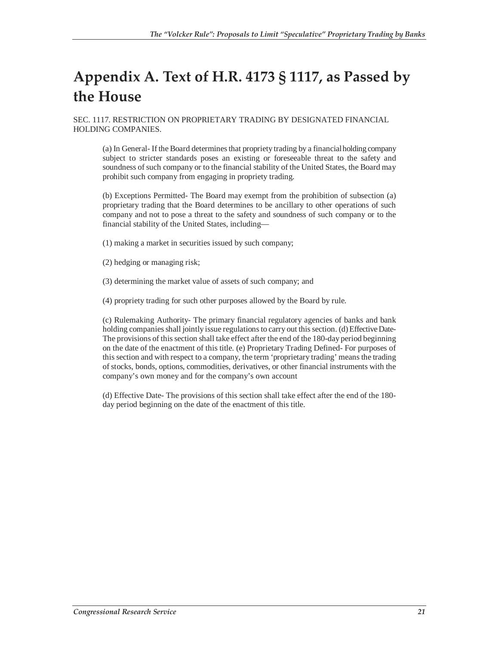# **Appendix A. Text of H.R. 4173 § 1117, as Passed by the House**

SEC. 1117. RESTRICTION ON PROPRIETARY TRADING BY DESIGNATED FINANCIAL HOLDING COMPANIES.

(a) In General- If the Board determines that propriety trading by a financial holding company subject to stricter standards poses an existing or foreseeable threat to the safety and soundness of such company or to the financial stability of the United States, the Board may prohibit such company from engaging in propriety trading.

(b) Exceptions Permitted- The Board may exempt from the prohibition of subsection (a) proprietary trading that the Board determines to be ancillary to other operations of such company and not to pose a threat to the safety and soundness of such company or to the financial stability of the United States, including—

- (1) making a market in securities issued by such company;
- (2) hedging or managing risk;
- (3) determining the market value of assets of such company; and
- (4) propriety trading for such other purposes allowed by the Board by rule.

(c) Rulemaking Authority- The primary financial regulatory agencies of banks and bank holding companies shall jointly issue regulations to carry out this section. (d) Effective Date-The provisions of this section shall take effect after the end of the 180-day period beginning on the date of the enactment of this title. (e) Proprietary Trading Defined- For purposes of this section and with respect to a company, the term 'proprietary trading' means the trading of stocks, bonds, options, commodities, derivatives, or other financial instruments with the company's own money and for the company's own account

(d) Effective Date- The provisions of this section shall take effect after the end of the 180 day period beginning on the date of the enactment of this title.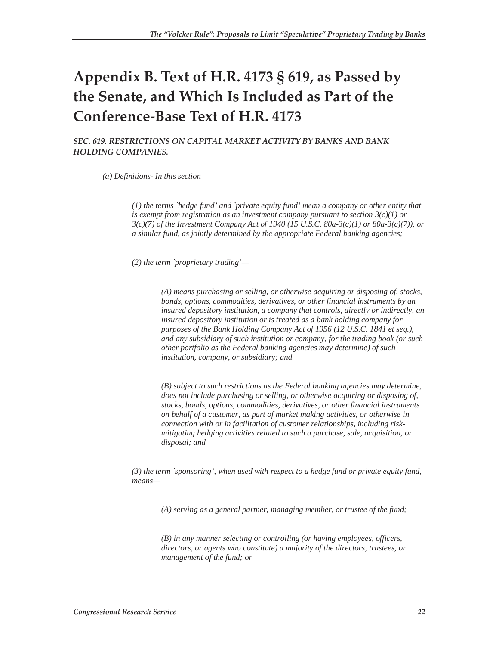## **Appendix B. Text of H.R. 4173 § 619, as Passed by the Senate, and Which Is Included as Part of the Conference-Base Text of H.R. 4173**

*SEC. 619. RESTRICTIONS ON CAPITAL MARKET ACTIVITY BY BANKS AND BANK HOLDING COMPANIES.* 

*(a) Definitions- In this section—*

*(1) the terms `hedge fund' and `private equity fund' mean a company or other entity that is exempt from registration as an investment company pursuant to section 3(c)(1) or 3(c)(7) of the Investment Company Act of 1940 (15 U.S.C. 80a-3(c)(1) or 80a-3(c)(7)), or a similar fund, as jointly determined by the appropriate Federal banking agencies;*

*(2) the term `proprietary trading'—*

*(A) means purchasing or selling, or otherwise acquiring or disposing of, stocks, bonds, options, commodities, derivatives, or other financial instruments by an insured depository institution, a company that controls, directly or indirectly, an insured depository institution or is treated as a bank holding company for purposes of the Bank Holding Company Act of 1956 (12 U.S.C. 1841 et seq.), and any subsidiary of such institution or company, for the trading book (or such other portfolio as the Federal banking agencies may determine) of such institution, company, or subsidiary; and*

*(B) subject to such restrictions as the Federal banking agencies may determine, does not include purchasing or selling, or otherwise acquiring or disposing of, stocks, bonds, options, commodities, derivatives, or other financial instruments on behalf of a customer, as part of market making activities, or otherwise in connection with or in facilitation of customer relationships, including riskmitigating hedging activities related to such a purchase, sale, acquisition, or disposal; and*

*(3) the term `sponsoring', when used with respect to a hedge fund or private equity fund, means—*

*(A) serving as a general partner, managing member, or trustee of the fund;*

*(B) in any manner selecting or controlling (or having employees, officers, directors, or agents who constitute) a majority of the directors, trustees, or management of the fund; or*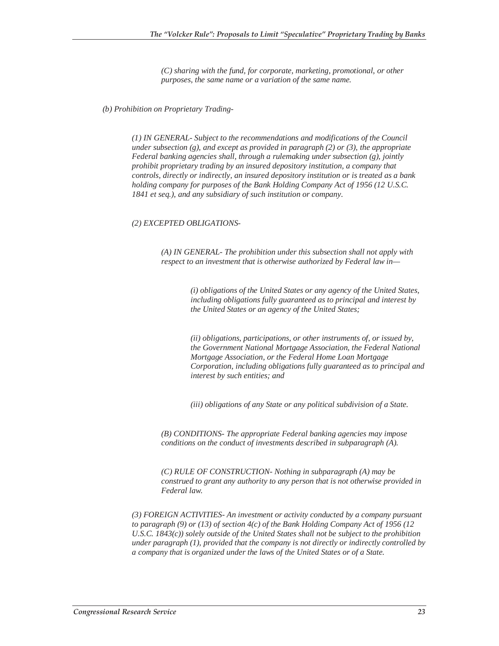*(C) sharing with the fund, for corporate, marketing, promotional, or other purposes, the same name or a variation of the same name.* 

*(b) Prohibition on Proprietary Trading-* 

*(1) IN GENERAL- Subject to the recommendations and modifications of the Council under subsection (g), and except as provided in paragraph (2) or (3), the appropriate Federal banking agencies shall, through a rulemaking under subsection (g), jointly prohibit proprietary trading by an insured depository institution, a company that controls, directly or indirectly, an insured depository institution or is treated as a bank holding company for purposes of the Bank Holding Company Act of 1956 (12 U.S.C. 1841 et seq.), and any subsidiary of such institution or company.*

#### *(2) EXCEPTED OBLIGATIONS-*

*(A) IN GENERAL- The prohibition under this subsection shall not apply with respect to an investment that is otherwise authorized by Federal law in—*

> *(i) obligations of the United States or any agency of the United States, including obligations fully guaranteed as to principal and interest by the United States or an agency of the United States;*

*(ii) obligations, participations, or other instruments of, or issued by, the Government National Mortgage Association, the Federal National Mortgage Association, or the Federal Home Loan Mortgage Corporation, including obligations fully guaranteed as to principal and interest by such entities; and*

*(iii) obligations of any State or any political subdivision of a State.*

*(B) CONDITIONS- The appropriate Federal banking agencies may impose conditions on the conduct of investments described in subparagraph (A).*

*(C) RULE OF CONSTRUCTION- Nothing in subparagraph (A) may be construed to grant any authority to any person that is not otherwise provided in Federal law.*

*(3) FOREIGN ACTIVITIES- An investment or activity conducted by a company pursuant to paragraph (9) or (13) of section 4(c) of the Bank Holding Company Act of 1956 (12 U.S.C. 1843(c)) solely outside of the United States shall not be subject to the prohibition under paragraph (1), provided that the company is not directly or indirectly controlled by a company that is organized under the laws of the United States or of a State.*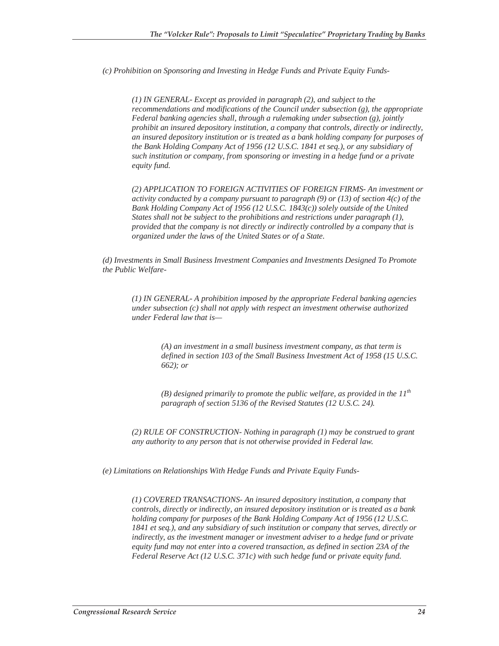*(c) Prohibition on Sponsoring and Investing in Hedge Funds and Private Equity Funds-* 

*(1) IN GENERAL- Except as provided in paragraph (2), and subject to the recommendations and modifications of the Council under subsection (g), the appropriate Federal banking agencies shall, through a rulemaking under subsection (g), jointly prohibit an insured depository institution, a company that controls, directly or indirectly, an insured depository institution or is treated as a bank holding company for purposes of the Bank Holding Company Act of 1956 (12 U.S.C. 1841 et seq.), or any subsidiary of such institution or company, from sponsoring or investing in a hedge fund or a private equity fund.*

*(2) APPLICATION TO FOREIGN ACTIVITIES OF FOREIGN FIRMS- An investment or activity conducted by a company pursuant to paragraph (9) or (13) of section 4(c) of the Bank Holding Company Act of 1956 (12 U.S.C. 1843(c)) solely outside of the United States shall not be subject to the prohibitions and restrictions under paragraph (1), provided that the company is not directly or indirectly controlled by a company that is organized under the laws of the United States or of a State.* 

*(d) Investments in Small Business Investment Companies and Investments Designed To Promote the Public Welfare-* 

*(1) IN GENERAL- A prohibition imposed by the appropriate Federal banking agencies under subsection (c) shall not apply with respect an investment otherwise authorized under Federal law that is—*

> *(A) an investment in a small business investment company, as that term is defined in section 103 of the Small Business Investment Act of 1958 (15 U.S.C. 662); or*

*(B) designed primarily to promote the public welfare, as provided in the*  $11<sup>th</sup>$ *paragraph of section 5136 of the Revised Statutes (12 U.S.C. 24).*

*(2) RULE OF CONSTRUCTION- Nothing in paragraph (1) may be construed to grant any authority to any person that is not otherwise provided in Federal law.*

*(e) Limitations on Relationships With Hedge Funds and Private Equity Funds-* 

*(1) COVERED TRANSACTIONS- An insured depository institution, a company that controls, directly or indirectly, an insured depository institution or is treated as a bank holding company for purposes of the Bank Holding Company Act of 1956 (12 U.S.C. 1841 et seq.), and any subsidiary of such institution or company that serves, directly or indirectly, as the investment manager or investment adviser to a hedge fund or private equity fund may not enter into a covered transaction, as defined in section 23A of the Federal Reserve Act (12 U.S.C. 371c) with such hedge fund or private equity fund.*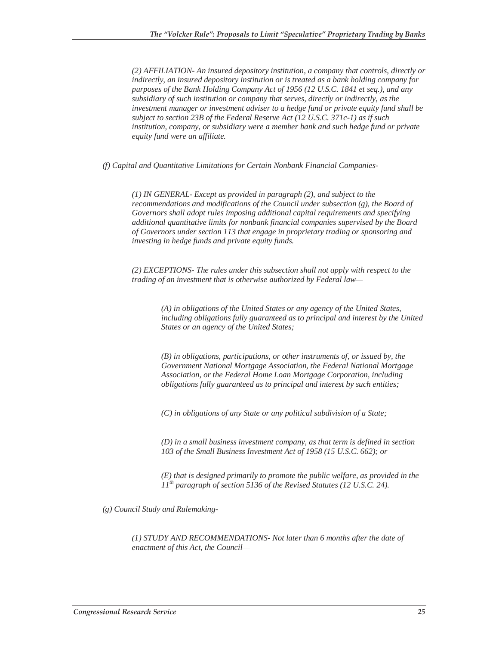*(2) AFFILIATION- An insured depository institution, a company that controls, directly or indirectly, an insured depository institution or is treated as a bank holding company for purposes of the Bank Holding Company Act of 1956 (12 U.S.C. 1841 et seq.), and any subsidiary of such institution or company that serves, directly or indirectly, as the investment manager or investment adviser to a hedge fund or private equity fund shall be subject to section 23B of the Federal Reserve Act (12 U.S.C. 371c-1) as if such institution, company, or subsidiary were a member bank and such hedge fund or private equity fund were an affiliate.*

*(f) Capital and Quantitative Limitations for Certain Nonbank Financial Companies-* 

*(1) IN GENERAL- Except as provided in paragraph (2), and subject to the recommendations and modifications of the Council under subsection (g), the Board of Governors shall adopt rules imposing additional capital requirements and specifying additional quantitative limits for nonbank financial companies supervised by the Board of Governors under section 113 that engage in proprietary trading or sponsoring and investing in hedge funds and private equity funds.*

*(2) EXCEPTIONS- The rules under this subsection shall not apply with respect to the trading of an investment that is otherwise authorized by Federal law—*

> *(A) in obligations of the United States or any agency of the United States, including obligations fully guaranteed as to principal and interest by the United States or an agency of the United States;*

*(B) in obligations, participations, or other instruments of, or issued by, the Government National Mortgage Association, the Federal National Mortgage Association, or the Federal Home Loan Mortgage Corporation, including obligations fully guaranteed as to principal and interest by such entities;*

*(C) in obligations of any State or any political subdivision of a State;*

*(D) in a small business investment company, as that term is defined in section 103 of the Small Business Investment Act of 1958 (15 U.S.C. 662); or*

*(E) that is designed primarily to promote the public welfare, as provided in the 11th paragraph of section 5136 of the Revised Statutes (12 U.S.C. 24).* 

*(g) Council Study and Rulemaking-* 

*(1) STUDY AND RECOMMENDATIONS- Not later than 6 months after the date of enactment of this Act, the Council—*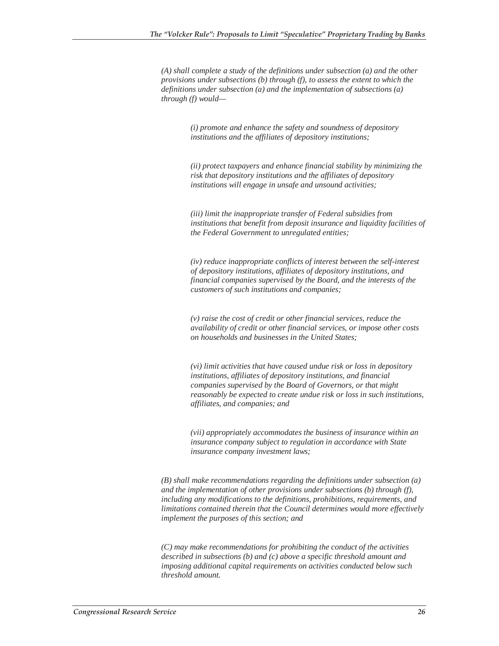*(A) shall complete a study of the definitions under subsection (a) and the other provisions under subsections (b) through (f), to assess the extent to which the definitions under subsection (a) and the implementation of subsections (a) through (f) would—*

> *(i) promote and enhance the safety and soundness of depository institutions and the affiliates of depository institutions;*

*(ii) protect taxpayers and enhance financial stability by minimizing the risk that depository institutions and the affiliates of depository institutions will engage in unsafe and unsound activities;*

*(iii) limit the inappropriate transfer of Federal subsidies from institutions that benefit from deposit insurance and liquidity facilities of the Federal Government to unregulated entities;*

*(iv) reduce inappropriate conflicts of interest between the self-interest of depository institutions, affiliates of depository institutions, and financial companies supervised by the Board, and the interests of the customers of such institutions and companies;*

*(v) raise the cost of credit or other financial services, reduce the availability of credit or other financial services, or impose other costs on households and businesses in the United States;*

*(vi) limit activities that have caused undue risk or loss in depository institutions, affiliates of depository institutions, and financial companies supervised by the Board of Governors, or that might reasonably be expected to create undue risk or loss in such institutions, affiliates, and companies; and*

*(vii) appropriately accommodates the business of insurance within an insurance company subject to regulation in accordance with State insurance company investment laws;*

*(B) shall make recommendations regarding the definitions under subsection (a) and the implementation of other provisions under subsections (b) through (f), including any modifications to the definitions, prohibitions, requirements, and limitations contained therein that the Council determines would more effectively implement the purposes of this section; and*

*(C) may make recommendations for prohibiting the conduct of the activities described in subsections (b) and (c) above a specific threshold amount and imposing additional capital requirements on activities conducted below such threshold amount.*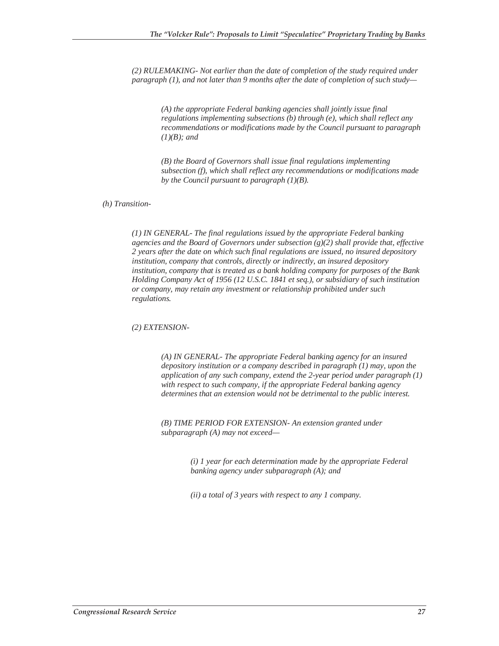*(2) RULEMAKING- Not earlier than the date of completion of the study required under paragraph (1), and not later than 9 months after the date of completion of such study—*

*(A) the appropriate Federal banking agencies shall jointly issue final regulations implementing subsections (b) through (e), which shall reflect any recommendations or modifications made by the Council pursuant to paragraph (1)(B); and*

*(B) the Board of Governors shall issue final regulations implementing subsection (f), which shall reflect any recommendations or modifications made by the Council pursuant to paragraph (1)(B).*

#### *(h) Transition-*

*(1) IN GENERAL- The final regulations issued by the appropriate Federal banking agencies and the Board of Governors under subsection (g)(2) shall provide that, effective 2 years after the date on which such final regulations are issued, no insured depository institution, company that controls, directly or indirectly, an insured depository institution, company that is treated as a bank holding company for purposes of the Bank Holding Company Act of 1956 (12 U.S.C. 1841 et seq.), or subsidiary of such institution or company, may retain any investment or relationship prohibited under such regulations.*

*(2) EXTENSION-* 

*(A) IN GENERAL- The appropriate Federal banking agency for an insured depository institution or a company described in paragraph (1) may, upon the application of any such company, extend the 2-year period under paragraph (1) with respect to such company, if the appropriate Federal banking agency determines that an extension would not be detrimental to the public interest.*

*(B) TIME PERIOD FOR EXTENSION- An extension granted under subparagraph (A) may not exceed—*

> *(i) 1 year for each determination made by the appropriate Federal banking agency under subparagraph (A); and*

*(ii) a total of 3 years with respect to any 1 company.*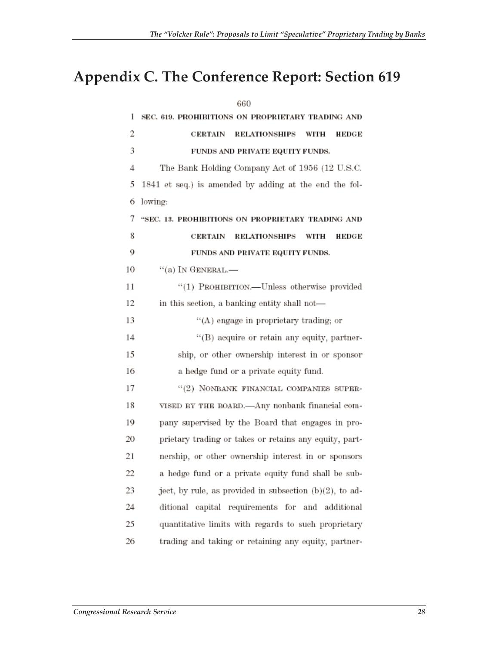# **Appendix C. The Conference Report: Section 619**

|    | 660                                                        |
|----|------------------------------------------------------------|
| 1  | SEC. 619. PROHIBITIONS ON PROPRIETARY TRADING AND          |
| 2  | <b>RELATIONSHIPS</b><br>CERTAIN<br>WITH<br>HEDGE           |
| 3  | FUNDS AND PRIVATE EQUITY FUNDS.                            |
| 4  | The Bank Holding Company Act of 1956 (12 U.S.C.            |
| 5  | 1841 et seq.) is amended by adding at the end the fol-     |
| 6  | lowing:                                                    |
| 7  | "SEC. 13. PROHIBITIONS ON PROPRIETARY TRADING AND          |
| 8  | <b>CERTAIN</b><br><b>RELATIONSHIPS</b><br>WITH<br>HEDGE    |
| 9  | FUNDS AND PRIVATE EQUITY FUNDS.                            |
| 10 | $``(a)$ In GENERAL.—                                       |
| 11 | "(1) PROHIBITION.--- Unless otherwise provided             |
| 12 | in this section, a banking entity shall not-               |
| 13 | "(A) engage in proprietary trading; or                     |
| 14 | "(B) acquire or retain any equity, partner-                |
| 15 | ship, or other ownership interest in or sponsor            |
| 16 | a hedge fund or a private equity fund.                     |
| 17 | $``(2)$ NONBANK FINANCIAL COMPANIES SUPER-                 |
| 18 | VISED BY THE BOARD.—Any nonbank financial com-             |
| 19 | pany supervised by the Board that engages in pro-          |
| 20 | prietary trading or takes or retains any equity, part-     |
| 21 | nership, or other ownership interest in or sponsors        |
| 22 | a hedge fund or a private equity fund shall be sub-        |
| 23 | ject, by rule, as provided in subsection $(b)(2)$ , to ad- |
| 24 | ditional capital requirements for and additional           |
| 25 | quantitative limits with regards to such proprietary       |
| 26 | trading and taking or retaining any equity, partner-       |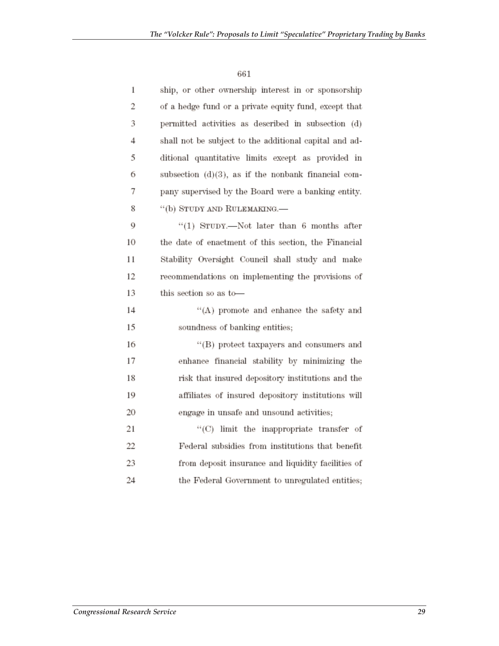| 1  | ship, or other ownership interest in or sponsorship    |
|----|--------------------------------------------------------|
| 2  | of a hedge fund or a private equity fund, except that  |
| 3  | permitted activities as described in subsection (d)    |
| 4  | shall not be subject to the additional capital and ad- |
| 5  | ditional quantitative limits except as provided in     |
| 6  | subsection $(d)(3)$ , as if the nonbank financial com- |
| 7  | pany supervised by the Board were a banking entity.    |
| 8  | "(b) STUDY AND RULEMAKING.-                            |
| 9  | "(1) STUDY.—Not later than $6$ months after            |
| 10 | the date of enactment of this section, the Financial   |
| 11 | Stability Oversight Council shall study and make       |
| 12 | recommendations on implementing the provisions of      |
| 13 | this section so as to-                                 |
| 14 | "(A) promote and enhance the safety and                |
| 15 | soundness of banking entities;                         |
| 16 | "(B) protect taxpayers and consumers and               |
| 17 | enhance financial stability by minimizing the          |
| 18 | risk that insured depository institutions and the      |
| 19 | affiliates of insured depository institutions will     |
| 20 | engage in unsafe and unsound activities;               |
| 21 | "(C) limit the inappropriate transfer of               |
| 22 | Federal subsidies from institutions that benefit       |
| 23 | from deposit insurance and liquidity facilities of     |
| 24 | the Federal Government to unregulated entities;        |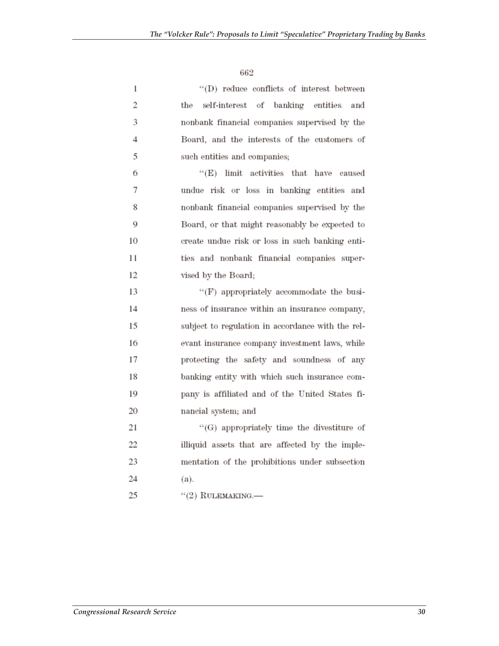| 1              | "(D) reduce conflicts of interest between         |
|----------------|---------------------------------------------------|
| 2              | the<br>self-interest of banking entities<br>and   |
| 3              | nonbank financial companies supervised by the     |
| $\overline{4}$ | Board, and the interests of the customers of      |
| 5              | such entities and companies;                      |
| 6              | "(E) limit activities that have caused            |
| 7              | undue risk or loss in banking entities and        |
| 8              | nonbank financial companies supervised by the     |
| 9              | Board, or that might reasonably be expected to    |
| 10             | create undue risk or loss in such banking enti-   |
| 11             | ties and nonbank financial companies super-       |
| 12             | vised by the Board;                               |
| 13             | "(F) appropriately accommodate the busi-          |
| 14             | ness of insurance within an insurance company,    |
| 15             | subject to regulation in accordance with the rel- |
| 16             | evant insurance company investment laws, while    |
| 17             | protecting the safety and soundness of any        |
| 18             | banking entity with which such insurance com-     |
| 19             | pany is affiliated and of the United States fi-   |
| 20             | nancial system; and                               |
| 21             | "(G) appropriately time the divestiture of        |
| 22             | illiquid assets that are affected by the imple-   |
| 23             | mentation of the prohibitions under subsection    |
| 24             | (a).                                              |
| 25             | $``(2)$ RULEMAKING.—                              |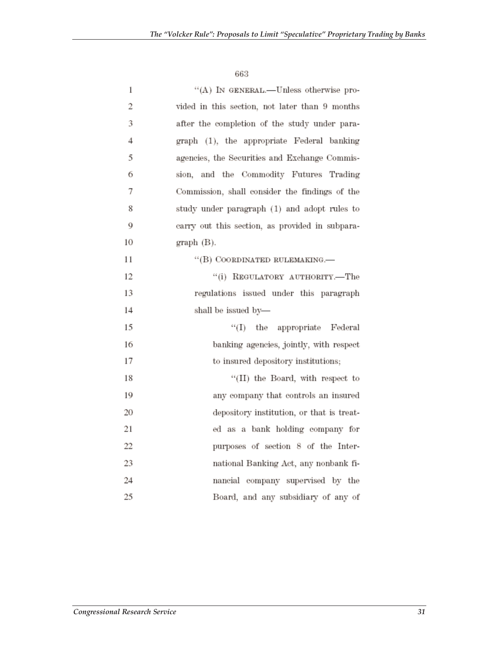| $\mathbf{1}$ | "(A) IN GENERAL.—Unless otherwise pro-          |
|--------------|-------------------------------------------------|
| 2            | vided in this section, not later than 9 months  |
| 3            | after the completion of the study under para-   |
| 4            | graph (1), the appropriate Federal banking      |
| 5            | agencies, the Securities and Exchange Commis-   |
| 6            | sion, and the Commodity Futures Trading         |
| 7            | Commission, shall consider the findings of the  |
| 8            | study under paragraph (1) and adopt rules to    |
| 9            | earry out this section, as provided in subpara- |
| 10           | graph (B).                                      |
| 11           | "(B) COORDINATED RULEMAKING.-                   |
| 12           | "(i) REGULATORY AUTHORITY.-The                  |
| 13           | regulations issued under this paragraph         |
| 14           | shall be issued by-                             |
| 15           | "(I) the appropriate Federal                    |
| 16           | banking agencies, jointly, with respect         |
| 17           | to insured depository institutions;             |
| 18           | "(II) the Board, with respect to                |
| 19           | any company that controls an insured            |
| 20           | depository institution, or that is treat-       |
| 21           | ed as a bank holding company for                |
| 22           | purposes of section 8 of the Inter-             |
| 23           | national Banking Act, any nonbank fi-           |
| 24           | nancial company supervised by the               |
| 25           | Board, and any subsidiary of any of             |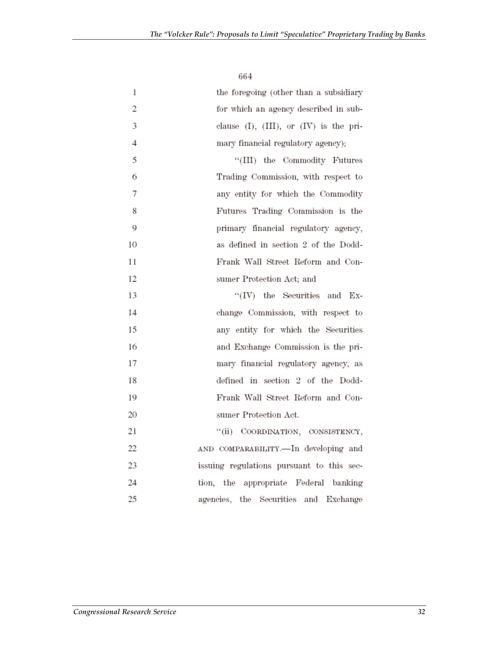| 1              | the foregoing (other than a subsidiary         |
|----------------|------------------------------------------------|
| $\overline{2}$ | for which an agency described in sub-          |
| 3              | clause $(I)$ , $(III)$ , or $(IV)$ is the pri- |
| $\overline{4}$ | mary financial regulatory agency);             |
| 5              | "(III) the Commodity Futures                   |
| 6              | Trading Commission, with respect to            |
| 7              | any entity for which the Commodity             |
| 8              | Futures Trading Commission is the              |
| 9              | primary financial regulatory agency,           |
| 10             | as defined in section 2 of the Dodd-           |
| 11             | Frank Wall Street Reform and Con-              |
| 12             | sumer Protection Act; and                      |
| 13             | $``(IV)$ the Securities and Ex-                |
| 14             | change Commission, with respect to             |
| 15             | any entity for which the Securities            |
| 16             | and Exchange Commission is the pri-            |
| 17             | mary financial regulatory agency, as           |
| 18             | defined in section 2 of the Dodd-              |
| 19             | Frank Wall Street Reform and Con-              |
| 20             | sumer Protection Act.                          |
| 21             | "(ii) COORDINATION, CONSISTENCY,               |
| 22             | AND COMPARABILITY.-In developing and           |
| 23             | issuing regulations pursuant to this sec-      |
| 24             | tion, the appropriate Federal banking          |
| 25             | agencies, the Securities and Exchange          |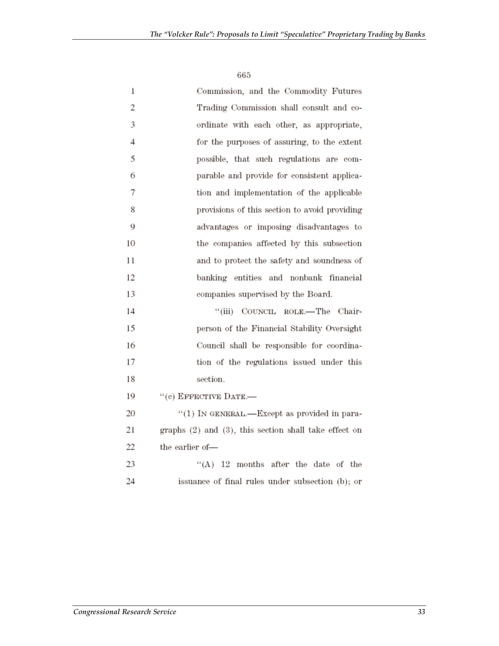| 1  | Commission, and the Commodity Futures                 |
|----|-------------------------------------------------------|
| 2  | Trading Commission shall consult and co-              |
| 3  | ordinate with each other, as appropriate,             |
| 4  | for the purposes of assuring, to the extent           |
| 5  | possible, that such regulations are com-              |
| 6  | parable and provide for consistent applica-           |
| 7  | tion and implementation of the applicable             |
| 8  | provisions of this section to avoid providing         |
| 9  | advantages or imposing disadvantages to               |
| 10 | the companies affected by this subsection             |
| 11 | and to protect the safety and soundness of            |
| 12 | banking entities and nonbank financial                |
| 13 | companies supervised by the Board.                    |
| 14 | "(iii) COUNCIL ROLE.—The Chair-                       |
| 15 | person of the Financial Stability Oversight           |
| 16 | Council shall be responsible for coordina-            |
| 17 | tion of the regulations issued under this             |
| 18 | section.                                              |
| 19 | "(e) EFFECTIVE DATE.-                                 |
| 20 | "(1) IN GENERAL.—Except as provided in para-          |
| 21 | graphs (2) and (3), this section shall take effect on |
| 22 | the earlier of—                                       |
| 23 | $H(A)$ 12 months after the date of the                |
| 24 | issuance of final rules under subsection (b); or      |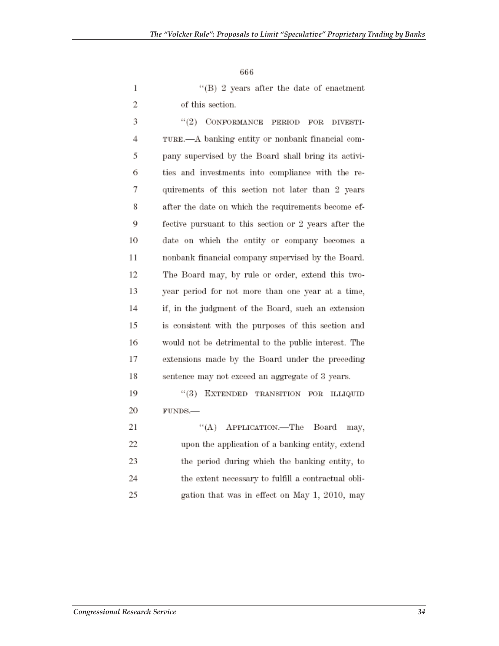$\,1$  $\overline{2}$ 

"(B) 2 years after the date of enactment of this section.

| 3  | "(2) CONFORMANCE PERIOD FOR DIVESTI-                  |
|----|-------------------------------------------------------|
| 4  | TURE.—A banking entity or nonbank financial com-      |
| 5  | pany supervised by the Board shall bring its activi-  |
| 6  | ties and investments into compliance with the re-     |
| 7  | quirements of this section not later than 2 years     |
| 8  | after the date on which the requirements become ef-   |
| 9  | fective pursuant to this section or 2 years after the |
| 10 | date on which the entity or company becomes a         |
| 11 | nonbank financial company supervised by the Board.    |
| 12 | The Board may, by rule or order, extend this two-     |
| 13 | year period for not more than one year at a time,     |
| 14 | if, in the judgment of the Board, such an extension   |
| 15 | is consistent with the purposes of this section and   |
| 16 | would not be detrimental to the public interest. The  |
| 17 | extensions made by the Board under the preceding      |
| 18 | sentence may not exceed an aggregate of 3 years.      |
| 19 | "(3) EXTENDED TRANSITION FOR ILLIQUID                 |
| 20 | FUNDS.-                                               |
| 21 | "(A) APPLICATION.—The Board<br>may,                   |
|    |                                                       |

 $22\,$ upon the application of a banking entity, extend 23 the period during which the banking entity, to 24 the extent necessary to fulfill a contractual obli-25 gation that was in effect on May 1, 2010, may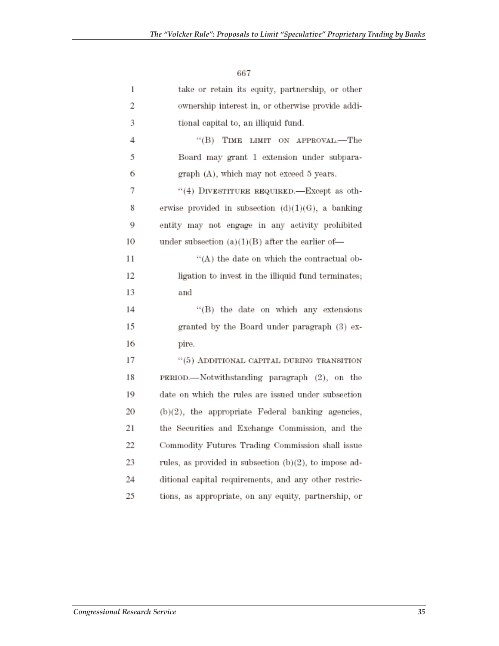| 1  | take or retain its equity, partnership, or other       |
|----|--------------------------------------------------------|
| 2  | ownership interest in, or otherwise provide addi-      |
| 3  | tional capital to, an illiquid fund.                   |
| 4  | "(B) TIME LIMIT ON APPROVAL.-The                       |
| 5  | Board may grant 1 extension under subpara-             |
| 6  | graph (A), which may not exceed 5 years.               |
| 7  | "(4) DIVESTITURE REQUIRED.—Except as oth-              |
| 8  | erwise provided in subsection $(d)(1)(G)$ , a banking  |
| 9  | entity may not engage in any activity prohibited       |
| 10 | under subsection $(a)(1)(B)$ after the earlier of-     |
| 11 | $H(A)$ the date on which the contractual ob-           |
| 12 | ligation to invest in the illiquid fund terminates;    |
| 13 | and                                                    |
| 14 | "(B) the date on which any extensions                  |
| 15 | granted by the Board under paragraph (3) ex-           |
| 16 | pire.                                                  |
| 17 | "(5) ADDITIONAL CAPITAL DURING TRANSITION              |
| 18 | PERIOD.—Notwithstanding paragraph (2), on the          |
| 19 | date on which the rules are issued under subsection    |
| 20 | $(b)(2)$ , the appropriate Federal banking agencies,   |
| 21 | the Securities and Exchange Commission, and the        |
| 22 | Commodity Futures Trading Commission shall issue       |
| 23 | rules, as provided in subsection (b)(2), to impose ad- |
| 24 | ditional capital requirements, and any other restric-  |
| 25 | tions, as appropriate, on any equity, partnership, or  |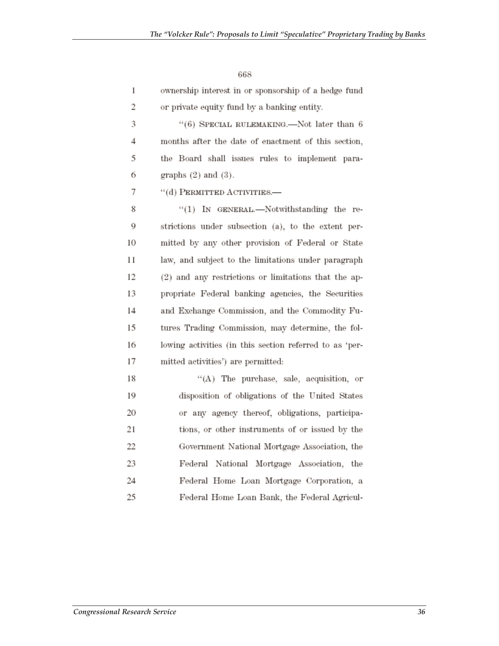| 1  | ownership interest in or sponsorship of a hedge fund    |
|----|---------------------------------------------------------|
| 2  | or private equity fund by a banking entity.             |
| 3  | "(6) SPECIAL RULEMAKING.—Not later than 6               |
| 4  | months after the date of enactment of this section,     |
| 5  | the Board shall issues rules to implement para-         |
| 6  | graphs $(2)$ and $(3)$ .                                |
| 7  | "(d) PERMITTED ACTIVITIES.                              |
| 8  | $``(1)$ IN GENERAL.—Notwithstanding the re-             |
| 9  | strictions under subsection (a), to the extent per-     |
| 10 | mitted by any other provision of Federal or State       |
| 11 | law, and subject to the limitations under paragraph     |
| 12 | (2) and any restrictions or limitations that the ap-    |
| 13 | propriate Federal banking agencies, the Securities      |
| 14 | and Exchange Commission, and the Commodity Fu-          |
| 15 | tures Trading Commission, may determine, the fol-       |
| 16 | lowing activities (in this section referred to as 'per- |
| 17 | mitted activities') are permitted:                      |
| 18 | "(A) The purchase, sale, acquisition, or                |
| 19 | disposition of obligations of the United States         |
| 20 | or any agency thereof, obligations, participa-          |
| 21 | tions, or other instruments of or issued by the         |
| 22 | Government National Mortgage Association, the           |
| 23 | Federal National Mortgage Association, the              |
| 24 | Federal Home Loan Mortgage Corporation, a               |

Federal Home Loan Bank, the Federal Agricul-

668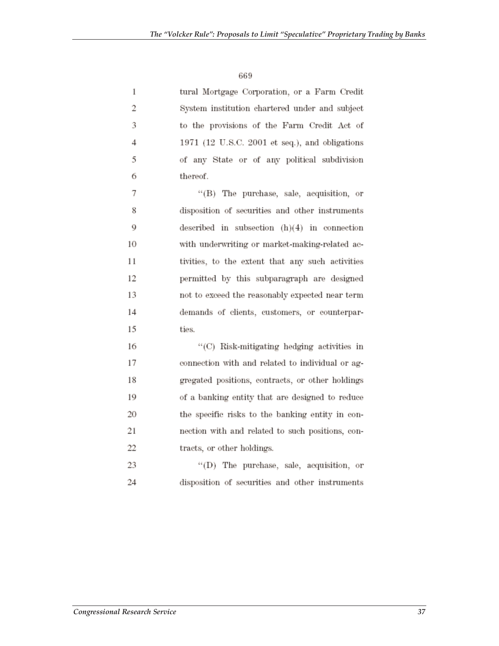$\mathbf{1}$ 

 $\overline{2}$ 

3

 $\overline{4}$ 

5

6

tural Mortgage Corporation, or a Farm Credit System institution chartered under and subject to the provisions of the Farm Credit Act of 1971 (12 U.S.C. 2001 et seq.), and obligations of any State or of any political subdivision thereof.

7 "(B) The purchase, sale, acquisition, or 8 disposition of securities and other instruments 9 described in subsection  $(h)(4)$  in connection 10 with underwriting or market-making-related ac-11 tivities, to the extent that any such activities 12 permitted by this subparagraph are designed 13 not to exceed the reasonably expected near term 14 demands of clients, customers, or counterpar-15 ties.

"(C) Risk-mitigating hedging activities in 16 17 connection with and related to individual or ag-18 gregated positions, contracts, or other holdings 19 of a banking entity that are designed to reduce 20 the specific risks to the banking entity in con-21 nection with and related to such positions, con-22 tracts, or other holdings.

23 "(D) The purchase, sale, acquisition, or 24 disposition of securities and other instruments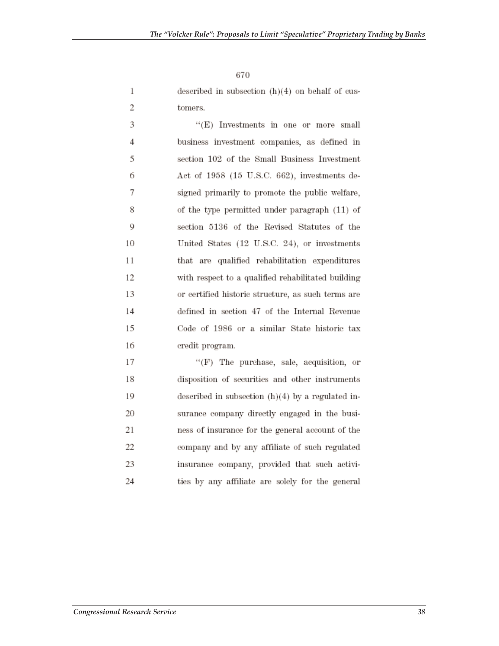described in subsection  $(h)(4)$  on behalf of customers.

| 3  | "(E) Investments in one or more small              |
|----|----------------------------------------------------|
| 4  | business investment companies, as defined in       |
| 5  | section 102 of the Small Business Investment       |
| 6  | Act of 1958 (15 U.S.C. 662), investments de-       |
| 7  | signed primarily to promote the public welfare,    |
| 8  | of the type permitted under paragraph (11) of      |
| 9  | section 5136 of the Revised Statutes of the        |
| 10 | United States (12 U.S.C. 24), or investments       |
| 11 | that are qualified rehabilitation expenditures     |
| 12 | with respect to a qualified rehabilitated building |
| 13 | or certified historic structure, as such terms are |
| 14 | defined in section 47 of the Internal Revenue      |
| 15 | Code of 1986 or a similar State historic tax       |
| 16 | credit program.                                    |

17 "(F) The purchase, sale, acquisition, or 18 disposition of securities and other instruments 19 described in subsection  $(h)(4)$  by a regulated in-20 surance company directly engaged in the busi-21 ness of insurance for the general account of the 22 company and by any affiliate of such regulated 23 insurance company, provided that such activi-24 ties by any affiliate are solely for the general

 $1\,$ 

 $\overline{2}$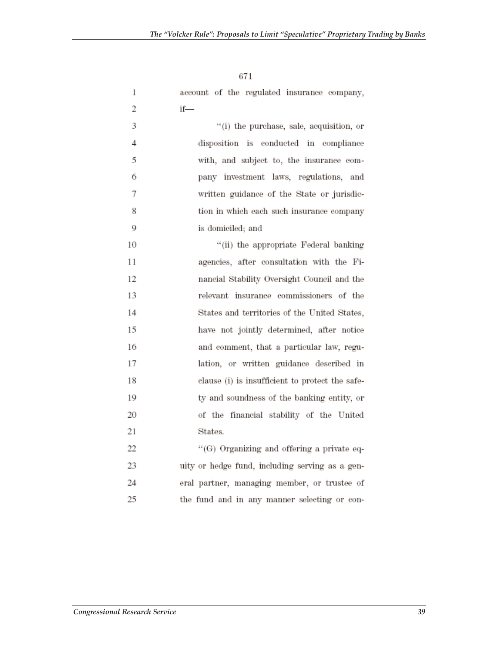| $\mathbf{1}$ | account of the regulated insurance company,     |
|--------------|-------------------------------------------------|
| 2            | if—                                             |
| 3            | "(i) the purchase, sale, acquisition, or        |
| 4            | disposition is conducted in compliance          |
| 5            | with, and subject to, the insurance com-        |
| 6            | pany investment laws, regulations, and          |
| 7            | written guidance of the State or jurisdic-      |
| 8            | tion in which each such insurance company       |
| 9            | is domiciled; and                               |
| 10           | "(ii) the appropriate Federal banking           |
| 11           | agencies, after consultation with the Fi-       |
| 12           | nancial Stability Oversight Council and the     |
| 13           | relevant insurance commissioners of the         |
| 14           | States and territories of the United States,    |
| 15           | have not jointly determined, after notice       |
| 16           | and comment, that a particular law, regu-       |
| 17           | lation, or written guidance described in        |
| 18           | clause (i) is insufficient to protect the safe- |
| 19           | ty and soundness of the banking entity, or      |
| 20           | of the financial stability of the United        |
| 21           | States.                                         |
| 22           | "(G) Organizing and offering a private eq-      |
| 23           | uity or hedge fund, including serving as a gen- |
| 24           | eral partner, managing member, or trustee of    |

the fund and in any manner selecting or con-

671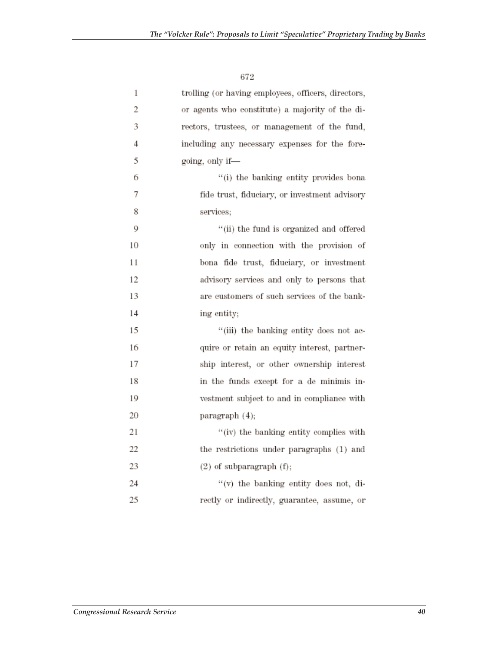| 1  | trolling (or having employees, officers, directors, |
|----|-----------------------------------------------------|
| 2  | or agents who constitute) a majority of the di-     |
| 3  | rectors, trustees, or management of the fund,       |
| 4  | including any necessary expenses for the fore-      |
| 5  | going, only if-                                     |
| 6  | "(i) the banking entity provides bona               |
| 7  | fide trust, fiduciary, or investment advisory       |
| 8  | services;                                           |
| 9  | "(ii) the fund is organized and offered             |
| 10 | only in connection with the provision of            |
| 11 | bona fide trust, fiduciary, or investment           |
| 12 | advisory services and only to persons that          |
| 13 | are customers of such services of the bank-         |
| 14 | ing entity;                                         |
| 15 | "(iii) the banking entity does not ac-              |
| 16 | quire or retain an equity interest, partner-        |
| 17 | ship interest, or other ownership interest          |
| 18 | in the funds except for a de minimis in-            |
| 19 | vestment subject to and in compliance with          |
| 20 | paragraph (4);                                      |
| 21 | "(iv) the banking entity complies with              |
| 22 | the restrictions under paragraphs (1) and           |
| 23 | $(2)$ of subparagraph $(f)$ ;                       |
| 24 | "(v) the banking entity does not, di-               |
| 25 | rectly or indirectly, guarantee, assume, or         |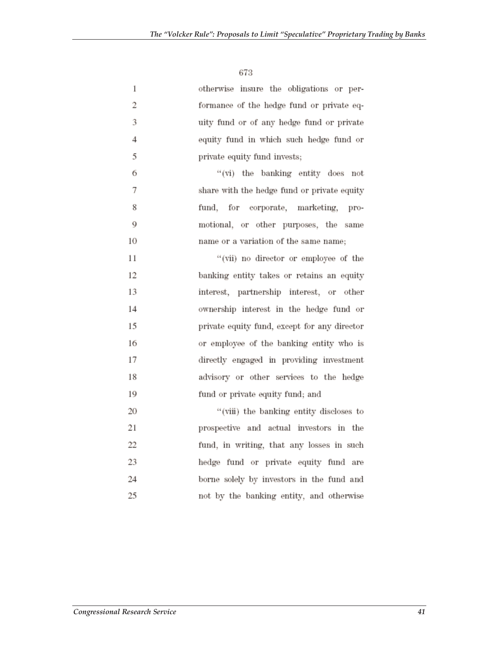| 1              | otherwise insure the obligations or per-     |
|----------------|----------------------------------------------|
| 2              | formance of the hedge fund or private eq-    |
| 3              | uity fund or of any hedge fund or private    |
| $\overline{4}$ | equity fund in which such hedge fund or      |
| 5              | private equity fund invests;                 |
| 6              | "(vi) the banking entity does not            |
| 7              | share with the hedge fund or private equity  |
| 8              | fund, for corporate, marketing, pro-         |
| 9              | motional, or other purposes, the same        |
| 10             | name or a variation of the same name;        |
| 11             | "(vii) no director or employee of the        |
| 12             | banking entity takes or retains an equity    |
| 13             | interest, partnership interest, or other     |
| 14             | ownership interest in the hedge fund or      |
| 15             | private equity fund, except for any director |
| 16             | or employee of the banking entity who is     |
| 17             | directly engaged in providing investment     |
| 18             | advisory or other services to the hedge      |
| 19             | fund or private equity fund; and             |
| 20             | "(viii) the banking entity discloses to      |
| 21             | prospective and actual investors in the      |
| 22             | fund, in writing, that any losses in such    |
| 23             | hedge fund or private equity fund are        |
| 24             | borne solely by investors in the fund and    |
| 25             | not by the banking entity, and otherwise     |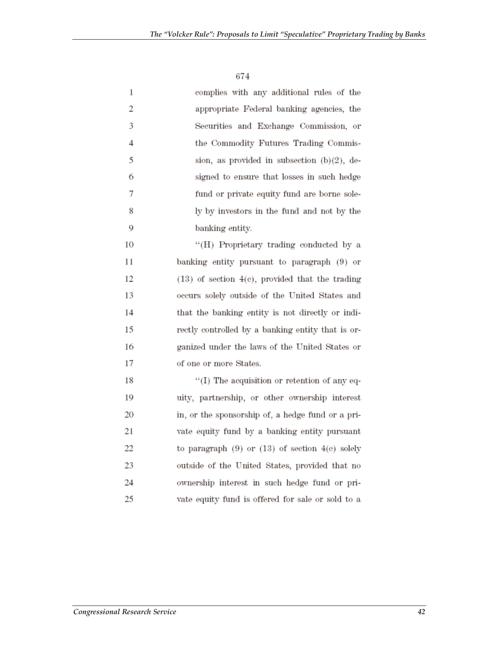| 1              | complies with any additional rules of the             |
|----------------|-------------------------------------------------------|
| 2              | appropriate Federal banking agencies, the             |
| 3              | Securities and Exchange Commission, or                |
| $\overline{4}$ | the Commodity Futures Trading Commis-                 |
| 5              | sion, as provided in subsection $(b)(2)$ , de-        |
| 6              | signed to ensure that losses in such hedge            |
| 7              | fund or private equity fund are borne sole-           |
| 8              | ly by investors in the fund and not by the            |
| 9              | banking entity.                                       |
| 10             | "(H) Proprietary trading conducted by a               |
| 11             | banking entity pursuant to paragraph (9) or           |
| 12             | $(13)$ of section $4(e)$ , provided that the trading  |
| 13             | occurs solely outside of the United States and        |
| 14             | that the banking entity is not directly or indi-      |
| 15             | rectly controlled by a banking entity that is or-     |
| 16             | ganized under the laws of the United States or        |
| 17             | of one or more States.                                |
| 18             | $``(I)$ The acquisition or retention of any eq-       |
| 19             | uity, partnership, or other ownership interest        |
| 20             | in, or the sponsorship of, a hedge fund or a pri-     |
| 21             | vate equity fund by a banking entity pursuant         |
| 22             | to paragraph $(9)$ or $(13)$ of section $4(e)$ solely |
| 23             | outside of the United States, provided that no        |
| 24             | ownership interest in such hedge fund or pri-         |
| 25             | vate equity fund is offered for sale or sold to a     |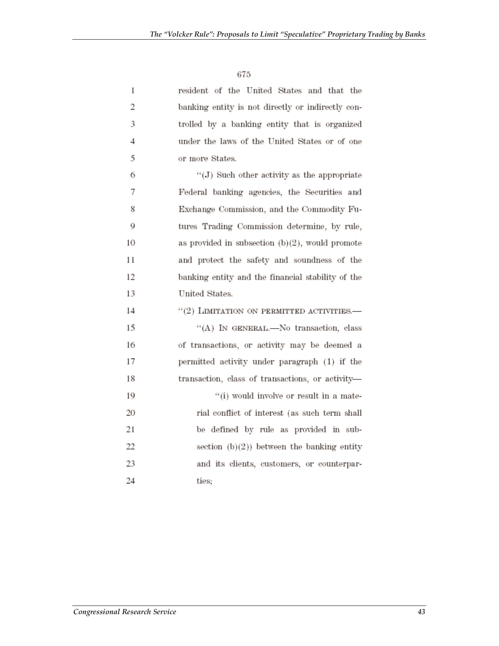| 1              | resident of the United States and that the         |
|----------------|----------------------------------------------------|
| $\overline{c}$ | banking entity is not directly or indirectly con-  |
| 3              | trolled by a banking entity that is organized      |
| $\overline{4}$ | under the laws of the United States or of one      |
| 5              | or more States.                                    |
| 6              | $``(J)$ Such other activity as the appropriate     |
| 7              | Federal banking agencies, the Securities and       |
| 8              | Exchange Commission, and the Commodity Fu-         |
| 9              | tures Trading Commission determine, by rule,       |
| 10             | as provided in subsection $(b)(2)$ , would promote |
| 11             | and protect the safety and soundness of the        |
| 12             | banking entity and the financial stability of the  |
| 13             | United States.                                     |
| 14             | "(2) LIMITATION ON PERMITTED ACTIVITIES.-          |
| 15             | "(A) IN GENERAL.—No transaction, class             |
| 16             | of transactions, or activity may be deemed a       |
| 17             | permitted activity under paragraph (1) if the      |
| 18             | transaction, class of transactions, or activity-   |
| 19             | "(i) would involve or result in a mate-            |
| 20             | rial conflict of interest (as such term shall      |
| 21             | be defined by rule as provided in sub-             |
| 22             | section $(b)(2)$ ) between the banking entity      |
| 23             | and its clients, customers, or counterpar-         |
| 24             | ties;                                              |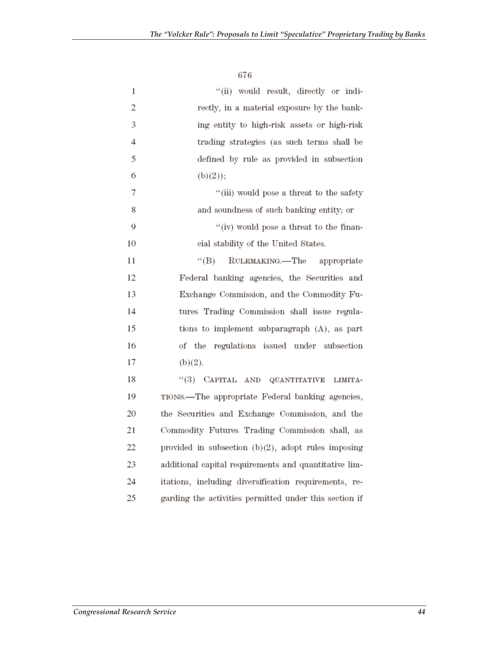$67\,$ 

| 1  | "(ii) would result, directly or indi-                  |
|----|--------------------------------------------------------|
| 2  | rectly, in a material exposure by the bank-            |
| 3  | ing entity to high-risk assets or high-risk            |
| 4  | trading strategies (as such terms shall be             |
| 5  | defined by rule as provided in subsection              |
| 6  | (b)(2));                                               |
| 7  | "(iii) would pose a threat to the safety               |
| 8  | and soundness of such banking entity; or               |
| 9  | "(iv) would pose a threat to the finan-                |
| 10 | cial stability of the United States.                   |
| 11 | $``$ (B)<br>RULEMAKING.-The appropriate                |
| 12 | Federal banking agencies, the Securities and           |
| 13 | Exchange Commission, and the Commodity Fu-             |
| 14 | tures Trading Commission shall issue regula-           |
| 15 | tions to implement subparagraph (A), as part           |
| 16 | of the regulations issued under subsection             |
| 17 | (b)(2).                                                |
| 18 | "(3) CAPITAL AND QUANTITATIVE<br>LIMITA-               |
| 19 | TIONS.-The appropriate Federal banking agencies,       |
| 20 | the Securities and Exchange Commission, and the        |
| 21 | Commodity Futures Trading Commission shall, as         |
| 22 | provided in subsection $(b)(2)$ , adopt rules imposing |
| 23 | additional capital requirements and quantitative lim-  |
| 24 | itations, including diversification requirements, re-  |
| 25 | garding the activities permitted under this section if |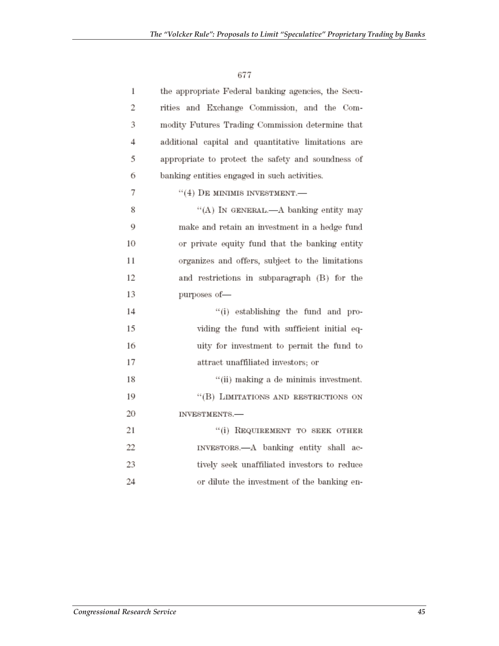| 1  | the appropriate Federal banking agencies, the Secu- |
|----|-----------------------------------------------------|
| 2  | rities and Exchange Commission, and the Com-        |
| 3  | modity Futures Trading Commission determine that    |
| 4  | additional capital and quantitative limitations are |
| 5  | appropriate to protect the safety and soundness of  |
| 6  | banking entities engaged in such activities.        |
| 7  | $``(4)$ DE MINIMIS INVESTMENT.—                     |
| 8  | "(A) IN GENERAL.—A banking entity may               |
| 9  | make and retain an investment in a hedge fund       |
| 10 | or private equity fund that the banking entity      |
| 11 | organizes and offers, subject to the limitations    |
| 12 | and restrictions in subparagraph (B) for the        |
| 13 | purposes of-                                        |
| 14 | "(i) establishing the fund and pro-                 |
| 15 | viding the fund with sufficient initial eq-         |
| 16 | uity for investment to permit the fund to           |
| 17 | attract unaffiliated investors; or                  |
| 18 | "(ii) making a de minimis investment.               |
| 19 | "(B) LIMITATIONS AND RESTRICTIONS ON                |
| 20 | INVESTMENTS.-                                       |
| 21 | "(i) REQUIREMENT TO SEEK OTHER                      |
| 22 | INVESTORS.- A banking entity shall ac-              |
| 23 | tively seek unaffiliated investors to reduce        |
| 24 | or dilute the investment of the banking en-         |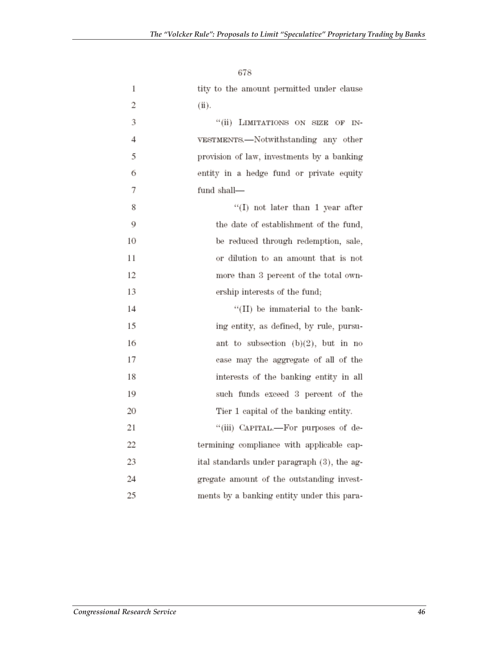| 1  | tity to the amount permitted under clause   |
|----|---------------------------------------------|
| 2  | (ii).                                       |
| 3  | "(ii) LIMITATIONS ON SIZE OF IN-            |
| 4  | VESTMENTS.—Notwithstanding any other        |
| 5  | provision of law, investments by a banking  |
| 6  | entity in a hedge fund or private equity    |
| 7  | fund shall-                                 |
| 8  | "(I) not later than 1 year after            |
| 9  | the date of establishment of the fund,      |
| 10 | be reduced through redemption, sale,        |
| 11 | or dilution to an amount that is not        |
| 12 | more than 3 percent of the total own-       |
| 13 | ership interests of the fund;               |
| 14 | "(II) be immaterial to the bank-            |
| 15 | ing entity, as defined, by rule, pursu-     |
| 16 | ant to subsection $(b)(2)$ , but in no      |
| 17 | case may the aggregate of all of the        |
| 18 | interests of the banking entity in all      |
| 19 | such funds exceed 3 percent of the          |
| 20 | Tier 1 capital of the banking entity.       |
| 21 | "(iii) CAPITAL.—For purposes of de-         |
| 22 | termining compliance with applicable cap-   |
| 23 | ital standards under paragraph (3), the ag- |
| 24 | gregate amount of the outstanding invest-   |
| 25 | ments by a banking entity under this para-  |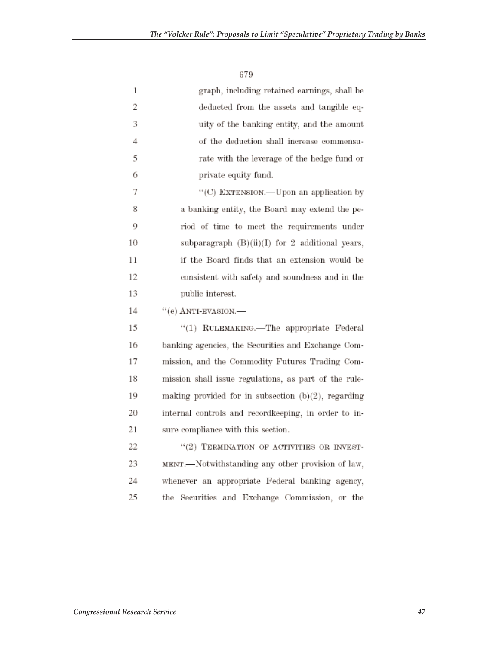| 1  | graph, including retained earnings, shall be          |
|----|-------------------------------------------------------|
| 2  | deducted from the assets and tangible eq-             |
| 3  | uity of the banking entity, and the amount            |
| 4  | of the deduction shall increase commensu-             |
| 5  | rate with the leverage of the hedge fund or           |
| 6  | private equity fund.                                  |
| 7  | "(C) EXTENSION.—Upon an application by                |
| 8  | a banking entity, the Board may extend the pe-        |
| 9  | riod of time to meet the requirements under           |
| 10 | subparagraph $(B)(ii)(I)$ for 2 additional years,     |
| 11 | if the Board finds that an extension would be         |
| 12 | consistent with safety and soundness and in the       |
| 13 | public interest.                                      |
| 14 | $``(e)$ ANTI-EVASION.—                                |
| 15 | "(1) RULEMAKING.-The appropriate Federal              |
| 16 | banking agencies, the Securities and Exchange Com-    |
| 17 | mission, and the Commodity Futures Trading Com-       |
| 18 | mission shall issue regulations, as part of the rule- |
| 19 | making provided for in subsection (b)(2), regarding   |
| 20 | internal controls and recordkeeping, in order to in-  |
| 21 | sure compliance with this section.                    |
| 22 | $``(2)$ TERMINATION OF ACTIVITIES OR INVEST-          |
| 23 | MENT.-Notwithstanding any other provision of law,     |
| 24 | whenever an appropriate Federal banking agency,       |
| 25 | the Securities and Exchange Commission, or the        |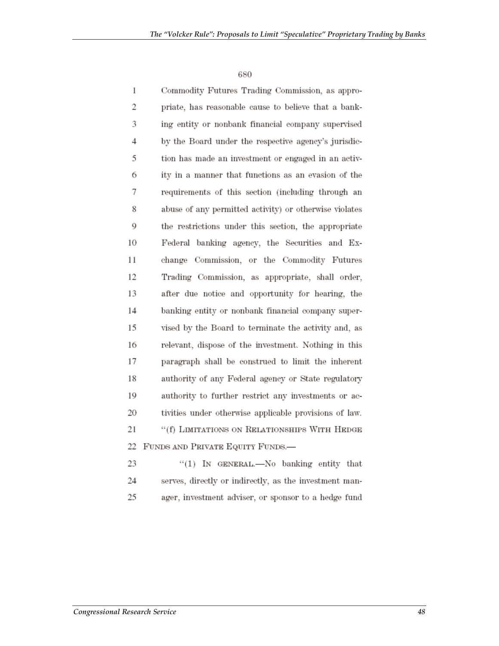| 1  | Commodity Futures Trading Commission, as appro-        |
|----|--------------------------------------------------------|
| 2  | priate, has reasonable cause to believe that a bank-   |
| 3  | ing entity or nonbank financial company supervised     |
| 4  | by the Board under the respective agency's jurisdic-   |
| 5  | tion has made an investment or engaged in an activ-    |
| 6  | ity in a manner that functions as an evasion of the    |
| 7  | requirements of this section (including through an     |
| 8  | abuse of any permitted activity) or otherwise violates |
| 9  | the restrictions under this section, the appropriate   |
| 10 | Federal banking agency, the Securities and Ex-         |
| 11 | change Commission, or the Commodity Futures            |
| 12 | Trading Commission, as appropriate, shall order,       |
| 13 | after due notice and opportunity for hearing, the      |
| 14 | banking entity or nonbank financial company super-     |
| 15 | vised by the Board to terminate the activity and, as   |
| 16 | relevant, dispose of the investment. Nothing in this   |
| 17 | paragraph shall be construed to limit the inherent     |
| 18 | authority of any Federal agency or State regulatory    |
| 19 | authority to further restrict any investments or ac-   |
| 20 | tivities under otherwise applicable provisions of law. |
| 21 | "(f) LIMITATIONS ON RELATIONSHIPS WITH HEDGE           |
| 22 | FUNDS AND PRIVATE EQUITY FUNDS.-                       |
| 23 | "(1) IN GENERAL.—No banking entity that                |

serves, directly or indirectly, as the investment man-24 ager, investment adviser, or sponsor to a hedge fund 25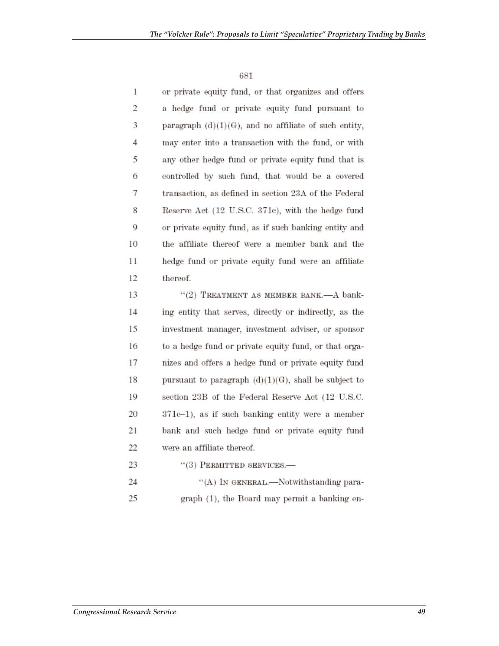| 1              | or private equity fund, or that organizes and offers     |
|----------------|----------------------------------------------------------|
| $\overline{2}$ | a hedge fund or private equity fund pursuant to          |
| 3              | paragraph $(d)(1)(G)$ , and no affiliate of such entity, |
| 4              | may enter into a transaction with the fund, or with      |
| 5              | any other hedge fund or private equity fund that is      |
| 6              | controlled by such fund, that would be a covered         |
| 7              | transaction, as defined in section 23A of the Federal    |
| 8              | Reserve Act (12 U.S.C. 371c), with the hedge fund        |
| 9              | or private equity fund, as if such banking entity and    |
| 10             | the affiliate thereof were a member bank and the         |
| 11             | hedge fund or private equity fund were an affiliate      |
| 12             | thereof.                                                 |
| 13             | "(2) TREATMENT AS MEMBER BANK.-A bank-                   |
| 14             | ing entity that serves, directly or indirectly, as the   |
|                |                                                          |

15 investment manager, investment adviser, or sponsor 16 to a hedge fund or private equity fund, or that orga-17 nizes and offers a hedge fund or private equity fund 18 pursuant to paragraph  $(d)(1)(G)$ , shall be subject to 19 section 23B of the Federal Reserve Act (12 U.S.C.  $371c-1$ ), as if such banking entity were a member 20 21 bank and such hedge fund or private equity fund 22 were an affiliate thereof.

- 23  $``(3)$  PERMITTED SERVICES.—
- 24 "(A) IN GENERAL.—Notwithstanding para-25 graph (1), the Board may permit a banking en-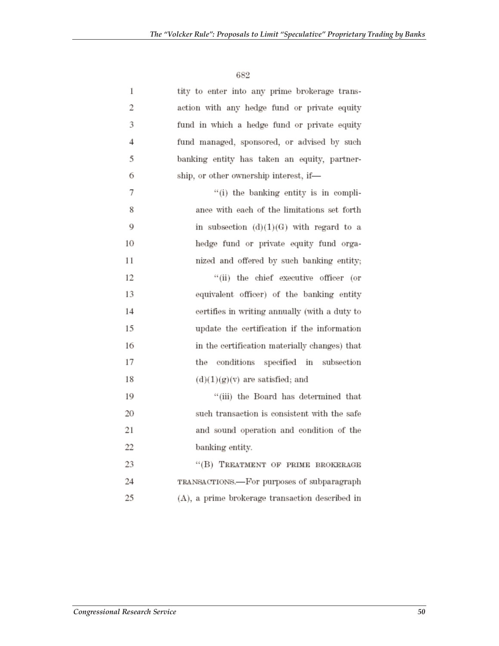$682\,$ 

| 1  | tity to enter into any prime brokerage trans-   |
|----|-------------------------------------------------|
| 2  | action with any hedge fund or private equity    |
| 3  | fund in which a hedge fund or private equity    |
| 4  | fund managed, sponsored, or advised by such     |
| 5  | banking entity has taken an equity, partner-    |
| 6  | ship, or other ownership interest, if-          |
| 7  | "(i) the banking entity is in compli-           |
| 8  | ance with each of the limitations set forth     |
| 9  | in subsection $(d)(1)(G)$ with regard to a      |
| 10 | hedge fund or private equity fund orga-         |
| 11 | nized and offered by such banking entity;       |
| 12 | "(ii) the chief executive officer (or           |
| 13 | equivalent officer) of the banking entity       |
| 14 | certifies in writing annually (with a duty to   |
| 15 | update the certification if the information     |
| 16 | in the certification materially changes) that   |
| 17 | the conditions specified in subsection          |
| 18 | $(d)(1)(g)(v)$ are satisfied; and               |
| 19 | "(iii) the Board has determined that            |
| 20 | such transaction is consistent with the safe    |
| 21 | and sound operation and condition of the        |
| 22 | banking entity.                                 |
| 23 | "(B) TREATMENT OF PRIME BROKERAGE               |
| 24 | TRANSACTIONS.-For purposes of subparagraph      |
| 25 | (A), a prime brokerage transaction described in |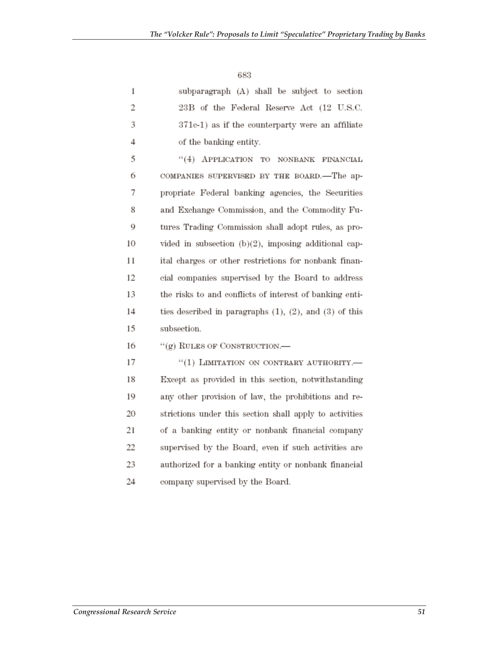$\;683$ 

| 1  | subparagraph (A) shall be subject to section                   |
|----|----------------------------------------------------------------|
| 2  | 23B of the Federal Reserve Act (12 U.S.C.                      |
| 3  | 371c-1) as if the counterparty were an affiliate               |
| 4  | of the banking entity.                                         |
| 5  | "(4) APPLICATION TO NONBANK FINANCIAL                          |
| 6  | COMPANIES SUPERVISED BY THE BOARD.-The ap-                     |
| 7  | propriate Federal banking agencies, the Securities             |
| 8  | and Exchange Commission, and the Commodity Fu-                 |
| 9  | tures Trading Commission shall adopt rules, as pro-            |
| 10 | vided in subsection (b)(2), imposing additional cap-           |
| 11 | ital charges or other restrictions for nonbank finan-          |
| 12 | cial companies supervised by the Board to address              |
| 13 | the risks to and conflicts of interest of banking enti-        |
| 14 | ties described in paragraphs $(1)$ , $(2)$ , and $(3)$ of this |
| 15 | subsection.                                                    |
| 16 | $``(g)$ RULES OF CONSTRUCTION.—                                |
| 17 | "(1) LIMITATION ON CONTRARY AUTHORITY.-                        |
| 18 | Except as provided in this section, notwithstanding            |
| 19 | any other provision of law, the prohibitions and re-           |
| 20 | strictions under this section shall apply to activities        |
| 21 | of a banking entity or nonbank financial company               |
| 22 | supervised by the Board, even if such activities are           |
| 23 | authorized for a banking entity or nonbank financial           |
| 24 | company supervised by the Board.                               |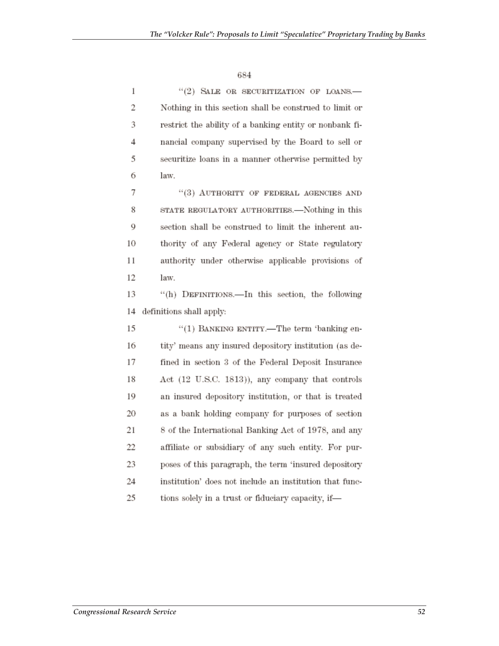| 1  | "(2) SALE OR SECURITIZATION OF LOANS.-                  |
|----|---------------------------------------------------------|
| 2  | Nothing in this section shall be construed to limit or  |
| 3  | restrict the ability of a banking entity or nonbank fi- |
| 4  | nancial company supervised by the Board to sell or      |
| 5  | securitize loans in a manner otherwise permitted by     |
| 6  | law.                                                    |
| 7  | "(3) AUTHORITY OF FEDERAL AGENCIES AND                  |
| 8  | STATE REGULATORY AUTHORITIES.—Nothing in this           |
| 9  | section shall be construed to limit the inherent au-    |
| 10 | thority of any Federal agency or State regulatory       |
| 11 | authority under otherwise applicable provisions of      |
| 12 | law.                                                    |
| 13 | "(h) DEFINITIONS.-In this section, the following        |
| 14 | definitions shall apply:                                |
| 15 | "(1) BANKING ENTITY.—The term 'banking en-              |
| 16 | tity' means any insured depository institution (as de-  |
| 17 | fined in section 3 of the Federal Deposit Insurance     |
| 18 | Act (12 U.S.C. 1813)), any company that controls        |
| 19 | an insured depository institution, or that is treated   |
| 20 | as a bank holding company for purposes of section       |
| 21 | 8 of the International Banking Act of 1978, and any     |
| 22 | affiliate or subsidiary of any such entity. For pur-    |
| 23 | poses of this paragraph, the term 'insured depository   |
| 24 | institution' does not include an institution that func- |
| 25 | tions solely in a trust or fiduciary capacity, if-      |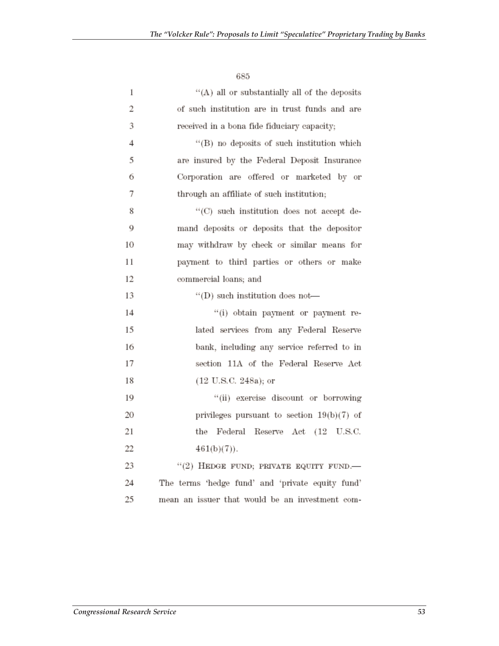| 1              | "(A) all or substantially all of the deposits    |
|----------------|--------------------------------------------------|
| 2              | of such institution are in trust funds and are   |
| 3              | received in a bona fide fiduciary capacity;      |
| $\overline{4}$ | "(B) no deposits of such institution which       |
| 5              | are insured by the Federal Deposit Insurance     |
| 6              | Corporation are offered or marketed by or        |
| 7              | through an affiliate of such institution;        |
| 8              | "(C) such institution does not accept de-        |
| 9              | mand deposits or deposits that the depositor     |
| 10             | may withdraw by check or similar means for       |
| 11             | payment to third parties or others or make       |
| 12             | commercial loans; and                            |
| 13             | "(D) such institution does not-                  |
| 14             | "(i) obtain payment or payment re-               |
| 15             | lated services from any Federal Reserve          |
| 16             | bank, including any service referred to in       |
| 17             | section 11A of the Federal Reserve Act           |
| 18             | $(12 \text{ U.S.C. } 248a)$ ; or                 |
| 19             | "(ii) exercise discount or borrowing             |
| 20             | privileges pursuant to section $19(b)(7)$ of     |
| 21             | the Federal Reserve Act (12 U.S.C.               |
| 22             | $461(b)(7)$ .                                    |
| 23             | $``(2)$ HEDGE FUND; PRIVATE EQUITY FUND.         |
| 24             | The terms 'hedge fund' and 'private equity fund' |
| 25             | mean an issuer that would be an investment com-  |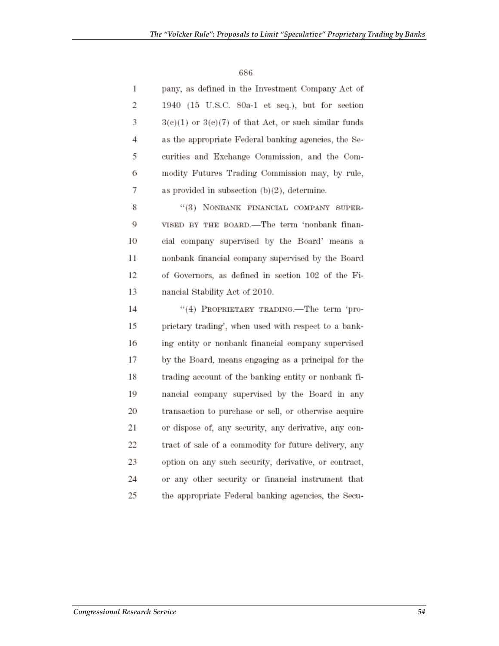| 1  | pany, as defined in the Investment Company Act of         |
|----|-----------------------------------------------------------|
| 2  | 1940 (15 U.S.C. 80a-1 et seq.), but for section           |
| 3  | $3(e)(1)$ or $3(e)(7)$ of that Act, or such similar funds |
| 4  | as the appropriate Federal banking agencies, the Se-      |
| 5  | curities and Exchange Commission, and the Com-            |
| 6  | modity Futures Trading Commission may, by rule,           |
| 7  | as provided in subsection $(b)(2)$ , determine.           |
| 8  | "(3) NONBANK FINANCIAL COMPANY SUPER-                     |
| 9  | VISED BY THE BOARD.-The term 'nonbank finan-              |
| 10 | cial company supervised by the Board' means a             |
| 11 | nonbank financial company supervised by the Board         |
| 12 | of Governors, as defined in section 102 of the Fi-        |
| 13 | nancial Stability Act of 2010.                            |
| 14 | "(4) PROPRIETARY TRADING.—The term 'pro-                  |
| 15 | prietary trading', when used with respect to a bank-      |
| 16 | ing entity or nonbank financial company supervised        |
| 17 | by the Board, means engaging as a principal for the       |
| 18 | trading account of the banking entity or nonbank fi-      |
| 19 | nancial company supervised by the Board in any            |
| 20 | transaction to purchase or sell, or otherwise acquire     |
| 21 | or dispose of, any security, any derivative, any con-     |
| 22 | tract of sale of a commodity for future delivery, any     |
| 23 | option on any such security, derivative, or contract,     |
| 24 | or any other security or financial instrument that        |
| 25 | the appropriate Federal banking agencies, the Secu-       |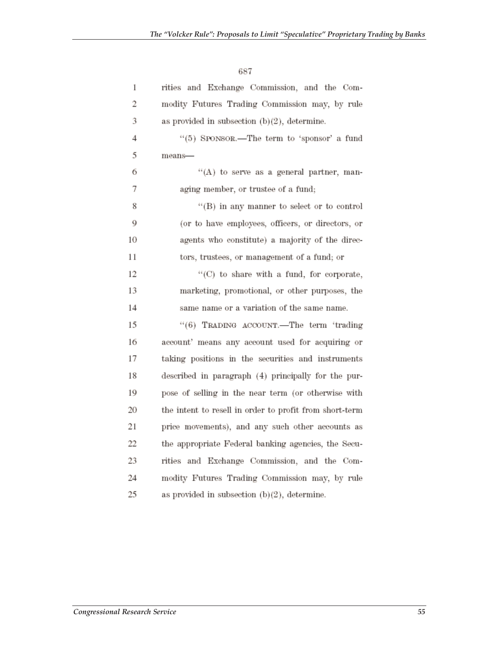| 1  | rities and Exchange Commission, and the Com-            |
|----|---------------------------------------------------------|
| 2  | modity Futures Trading Commission may, by rule          |
| 3  | as provided in subsection $(b)(2)$ , determine.         |
| 4  | "(5) SPONSOR.-The term to 'sponsor' a fund              |
| 5  | means-                                                  |
| 6  | "(A) to serve as a general partner, man-                |
| 7  | aging member, or trustee of a fund;                     |
| 8  | "(B) in any manner to select or to control              |
| 9  | (or to have employees, officers, or directors, or       |
| 10 | agents who constitute) a majority of the direc-         |
| 11 | tors, trustees, or management of a fund; or             |
| 12 | "(C) to share with a fund, for corporate,               |
| 13 | marketing, promotional, or other purposes, the          |
| 14 | same name or a variation of the same name.              |
| 15 | "(6) TRADING ACCOUNT.—The term 'trading                 |
| 16 | account' means any account used for acquiring or        |
| 17 | taking positions in the securities and instruments      |
| 18 | described in paragraph (4) principally for the pur-     |
| 19 | pose of selling in the near term (or otherwise with     |
| 20 | the intent to resell in order to profit from short-term |
| 21 | price movements), and any such other accounts as        |
| 22 | the appropriate Federal banking agencies, the Secu-     |
| 23 | rities and Exchange Commission, and the Com-            |
| 24 | modity Futures Trading Commission may, by rule          |
| 25 | as provided in subsection $(b)(2)$ , determine.         |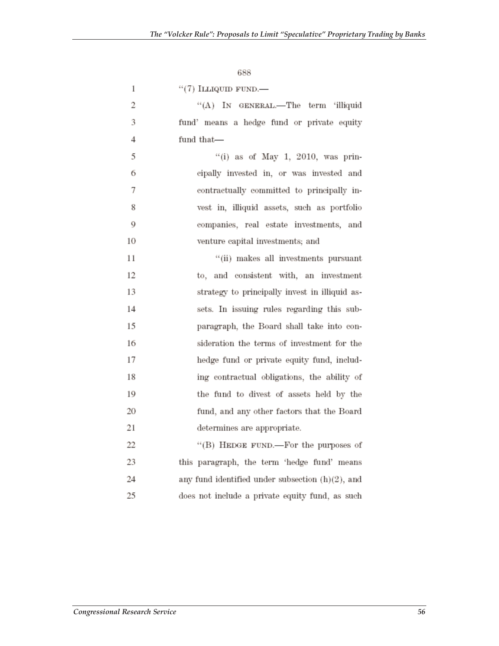| 1              | $``(7)$ ILLIQUID FUND.—                        |
|----------------|------------------------------------------------|
| 2              | "(A) IN GENERAL.—The term 'illiquid            |
| 3              | fund' means a hedge fund or private equity     |
| $\overline{4}$ | fund that-                                     |
| 5              | "(i) as of May 1, 2010, was prin-              |
| 6              | cipally invested in, or was invested and       |
| 7              | contractually committed to principally in-     |
| 8              | vest in, illiquid assets, such as portfolio    |
| 9              | companies, real estate investments, and        |
| 10             | venture capital investments; and               |
| 11             | "(ii) makes all investments pursuant           |
| 12             | to, and consistent with, an investment         |
| 13             | strategy to principally invest in illiquid as- |
| 14             | sets. In issuing rules regarding this sub-     |
| 15             | paragraph, the Board shall take into con-      |
| 16             | sideration the terms of investment for the     |
| 17             | hedge fund or private equity fund, includ-     |
| 18             | ing contractual obligations, the ability of    |
| 19             | the fund to divest of assets held by the       |
| 20             | fund, and any other factors that the Board     |
| 21             | determines are appropriate.                    |
| つつ             | $^{6}$ (R) Hence film $\pm$ For the numero of  |

22 (B) HEDGE FUND.—For the purposes of 23 this paragraph, the term 'hedge fund' means 24 any fund identified under subsection  $(h)(2)$ , and 25 does not include a private equity fund, as such